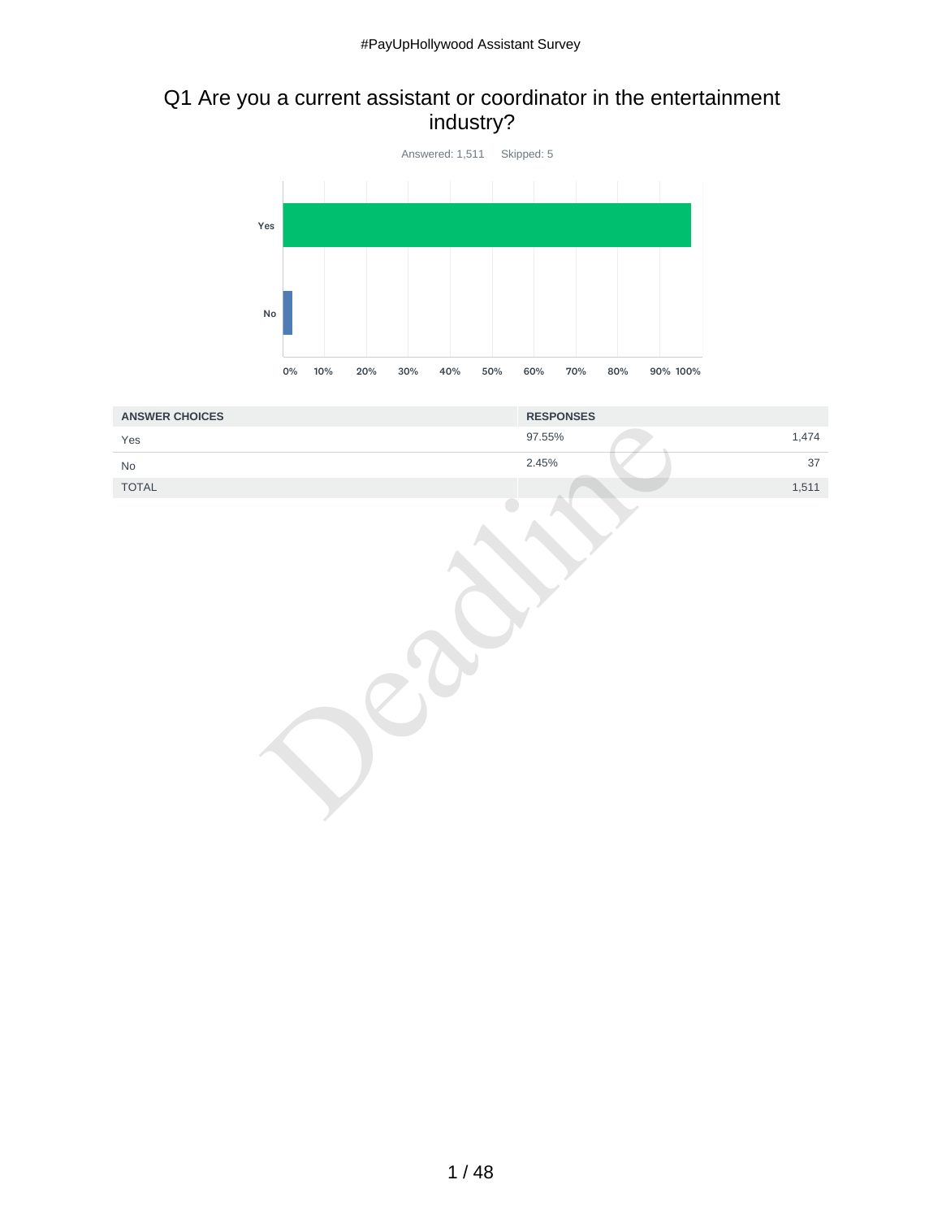## Q1 Are you a current assistant or coordinator in the entertainment industry?



| <b>ANSWER CHOICES</b>         | <b>RESPONSES</b> |
|-------------------------------|------------------|
| Yes                           | 1,474<br>97.55%  |
| $\operatorname{\mathsf{No}}$  | 2.45%<br>37      |
| $\ensuremath{\mathsf{TOTAL}}$ | 1,511            |
|                               |                  |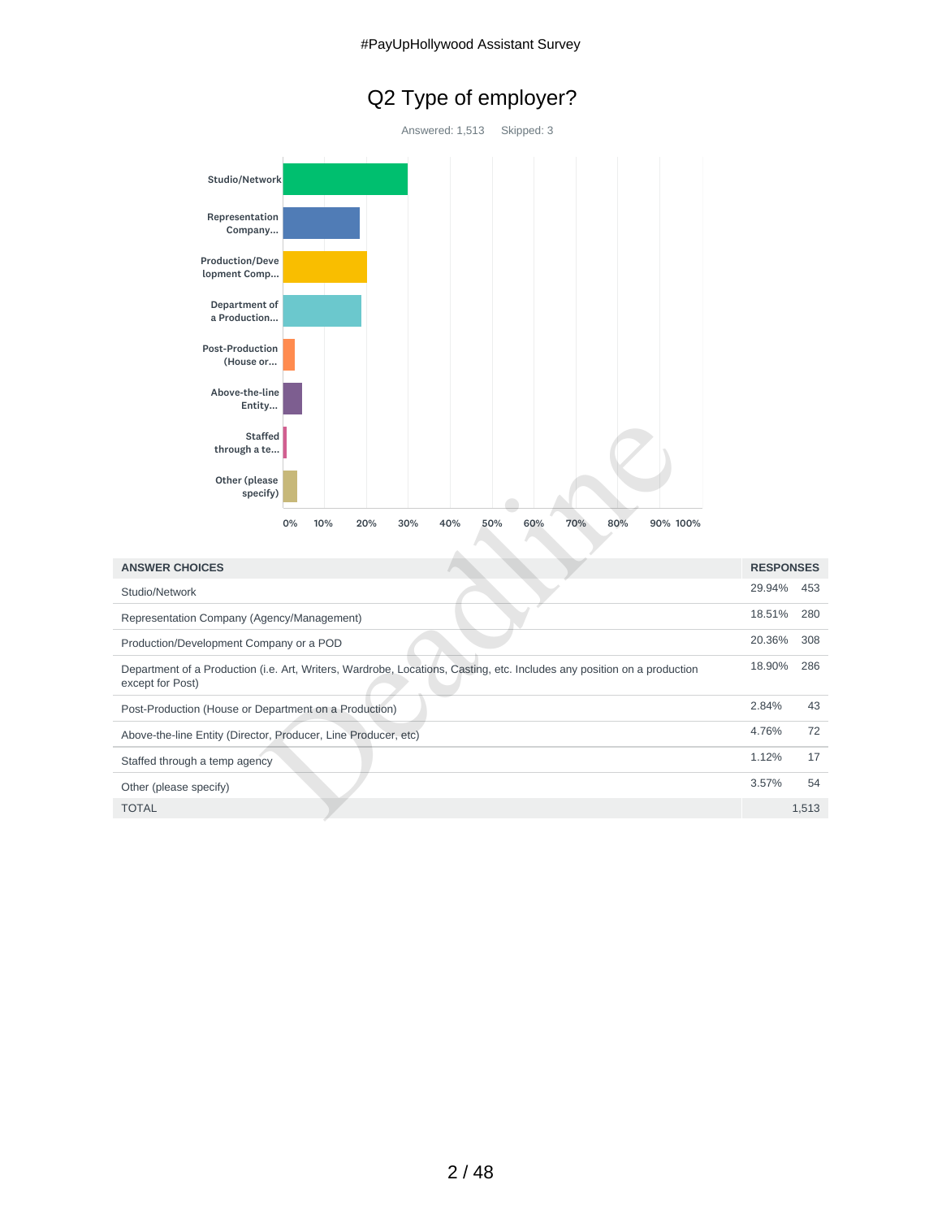# Q2 Type of employer?



| <b>Staffed</b><br>through a te<br>Other (please<br>specify)                                                                                 |                  |       |
|---------------------------------------------------------------------------------------------------------------------------------------------|------------------|-------|
| 80%<br>0%<br>10%<br>30%<br>40%<br>50%<br>60%<br>70%<br>90% 100%<br>20%                                                                      |                  |       |
| <b>ANSWER CHOICES</b>                                                                                                                       | <b>RESPONSES</b> |       |
| Studio/Network                                                                                                                              | 29.94%           | 453   |
| Representation Company (Agency/Management)                                                                                                  | 18.51%           | 280   |
| Production/Development Company or a POD                                                                                                     | 20.36%           | 308   |
| Department of a Production (i.e. Art, Writers, Wardrobe, Locations, Casting, etc. Includes any position on a production<br>except for Post) | 18.90%           | 286   |
| Post-Production (House or Department on a Production)                                                                                       | 2.84%            | 43    |
| Above-the-line Entity (Director, Producer, Line Producer, etc)                                                                              | 4.76%            | 72    |
| Staffed through a temp agency                                                                                                               | 1.12%            | 17    |
| Other (please specify)                                                                                                                      | 3.57%            | 54    |
| <b>TOTAL</b>                                                                                                                                |                  | 1,513 |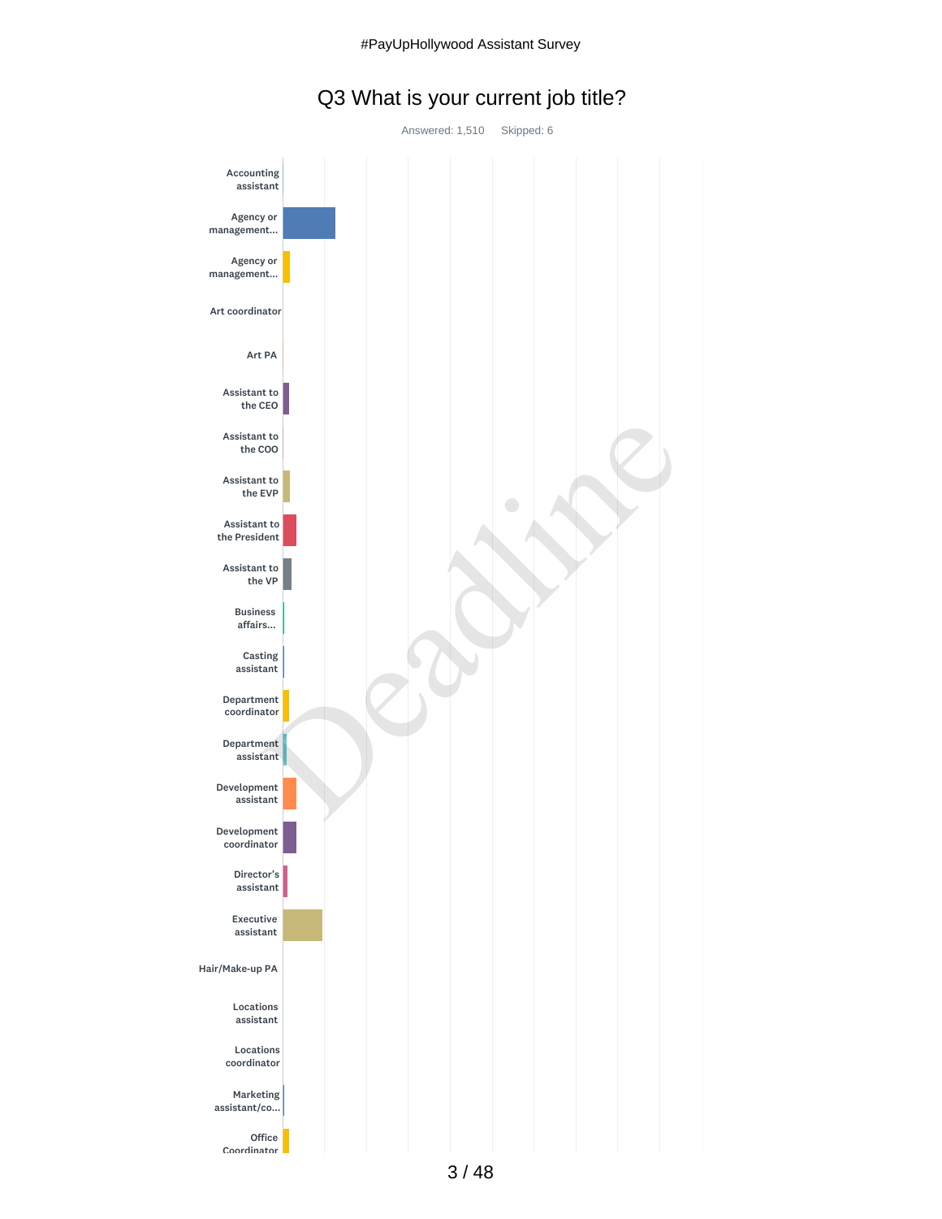## Q3 What is your current job title?

Answered: 1,510 Skipped: 6

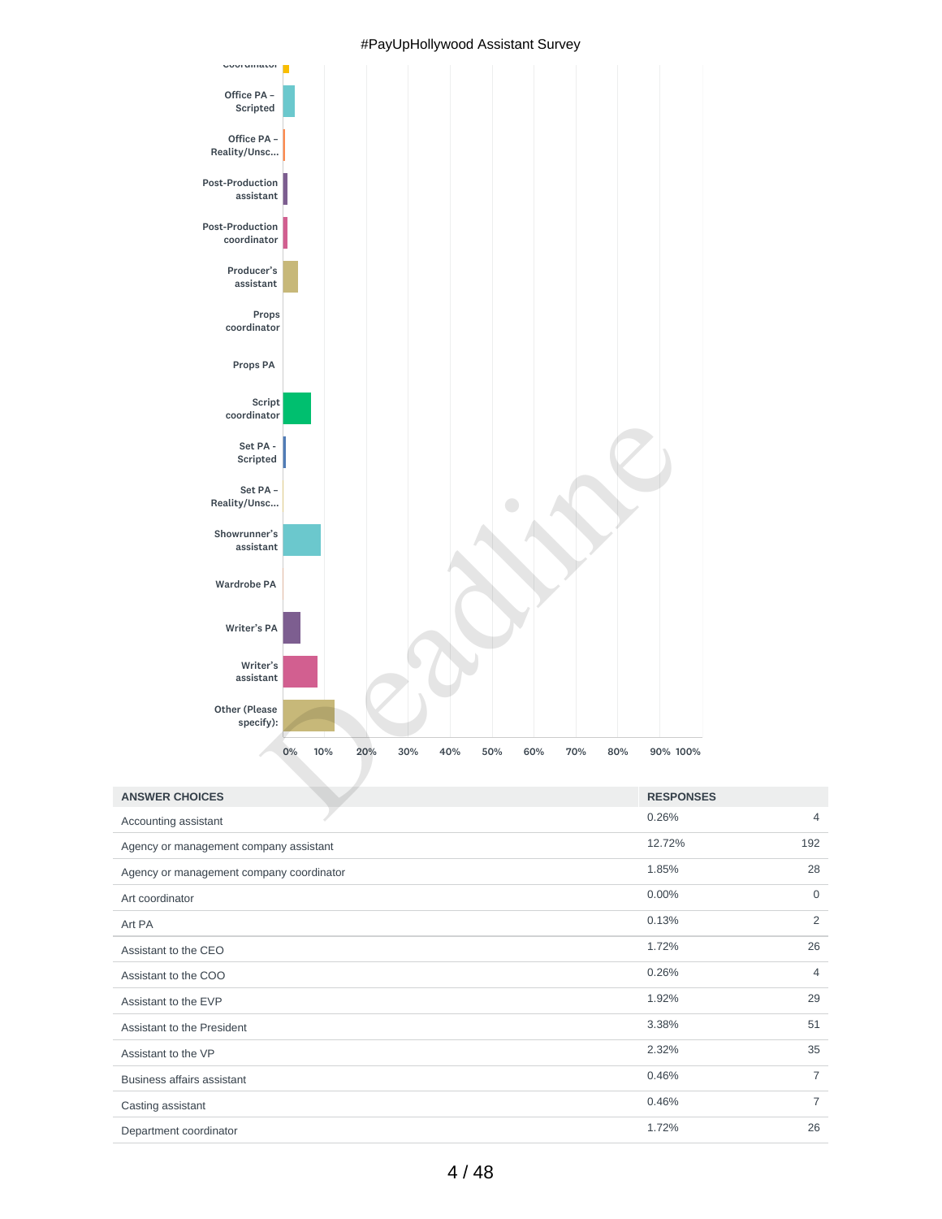

#### #PayUpHollywood Assistant Survey

| <b>ANSWER CHOICES</b>                    | <b>RESPONSES</b> |                |
|------------------------------------------|------------------|----------------|
| Accounting assistant                     | 0.26%            | $\overline{4}$ |
| Agency or management company assistant   | 12.72%           | 192            |
| Agency or management company coordinator | 1.85%            | 28             |
| Art coordinator                          | 0.00%            | $\mathbf 0$    |
| Art PA                                   | 0.13%            | 2              |
| Assistant to the CEO                     | 1.72%            | 26             |
| Assistant to the COO                     | 0.26%            | $\overline{4}$ |
| Assistant to the EVP                     | 1.92%            | 29             |
| Assistant to the President               | 3.38%            | 51             |
| Assistant to the VP                      | 2.32%            | 35             |
| <b>Business affairs assistant</b>        | 0.46%            | $\overline{7}$ |
| Casting assistant                        | 0.46%            | $\overline{7}$ |
| Denartment coordinator                   | 1.72%            | 26             |

Department coordinator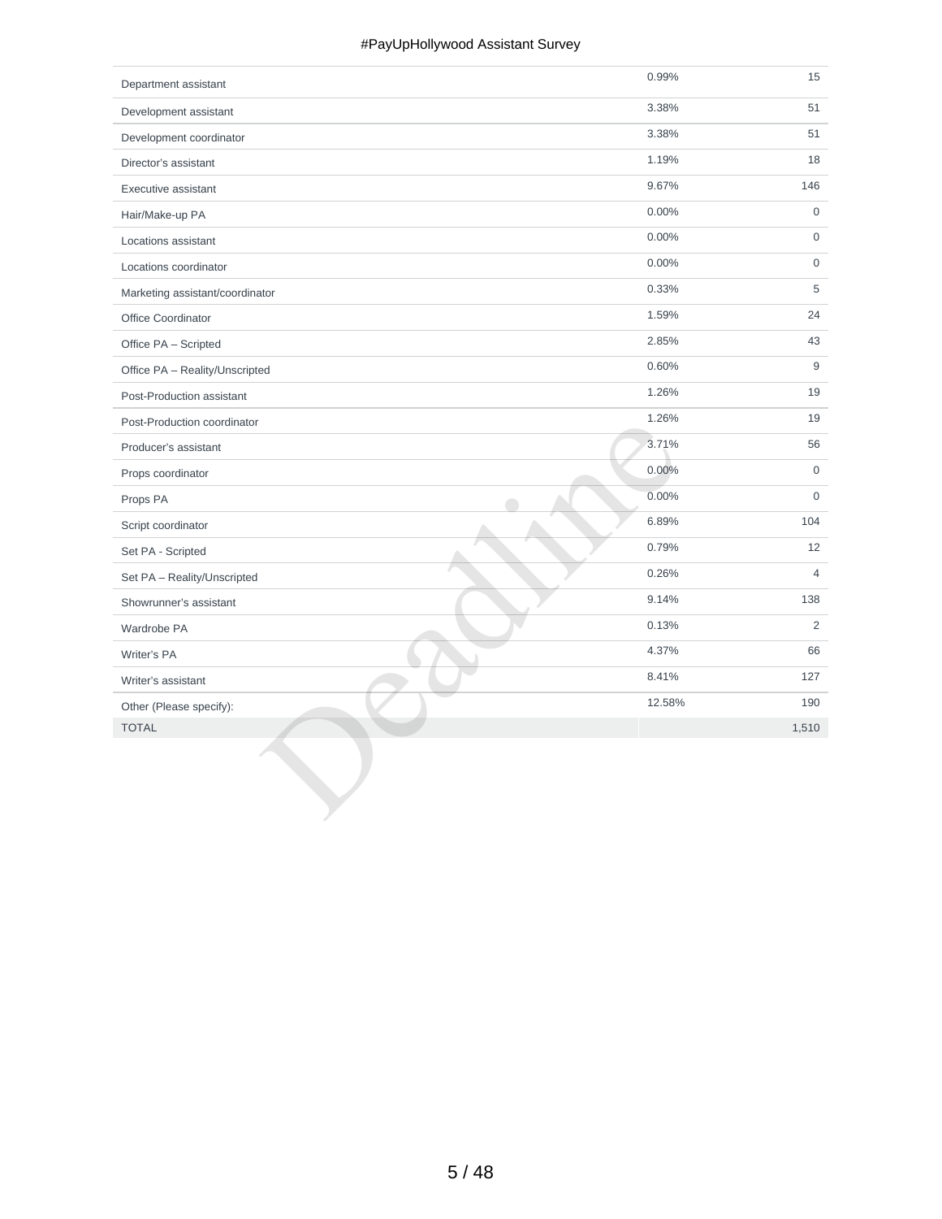#### #PayUpHollywood Assistant Survey

| Department assistant            | 0.99%  | 15                  |
|---------------------------------|--------|---------------------|
| Development assistant           | 3.38%  | 51                  |
| Development coordinator         | 3.38%  | 51                  |
| Director's assistant            | 1.19%  | 18                  |
| Executive assistant             | 9.67%  | 146                 |
| Hair/Make-up PA                 | 0.00%  | $\mathbf 0$         |
| Locations assistant             | 0.00%  | $\mathsf{O}\xspace$ |
| Locations coordinator           | 0.00%  | $\mathsf{O}\xspace$ |
| Marketing assistant/coordinator | 0.33%  | 5                   |
| Office Coordinator              | 1.59%  | 24                  |
| Office PA - Scripted            | 2.85%  | 43                  |
| Office PA - Reality/Unscripted  | 0.60%  | 9                   |
| Post-Production assistant       | 1.26%  | 19                  |
| Post-Production coordinator     | 1.26%  | 19                  |
| Producer's assistant            | 3.71%  | 56                  |
| Props coordinator               | 0.00%  | $\mathbf 0$         |
| Props PA                        | 0.00%  | $\mathbf 0$         |
| Script coordinator              | 6.89%  | 104                 |
| Set PA - Scripted               | 0.79%  | 12                  |
| Set PA - Reality/Unscripted     | 0.26%  | $\overline{4}$      |
| Showrunner's assistant          | 9.14%  | 138                 |
| Wardrobe PA                     | 0.13%  | $\overline{2}$      |
| Writer's PA                     | 4.37%  | 66                  |
| Writer's assistant              | 8.41%  | 127                 |
| Other (Please specify):         | 12.58% | 190                 |
| <b>TOTAL</b>                    |        | 1,510               |
|                                 |        |                     |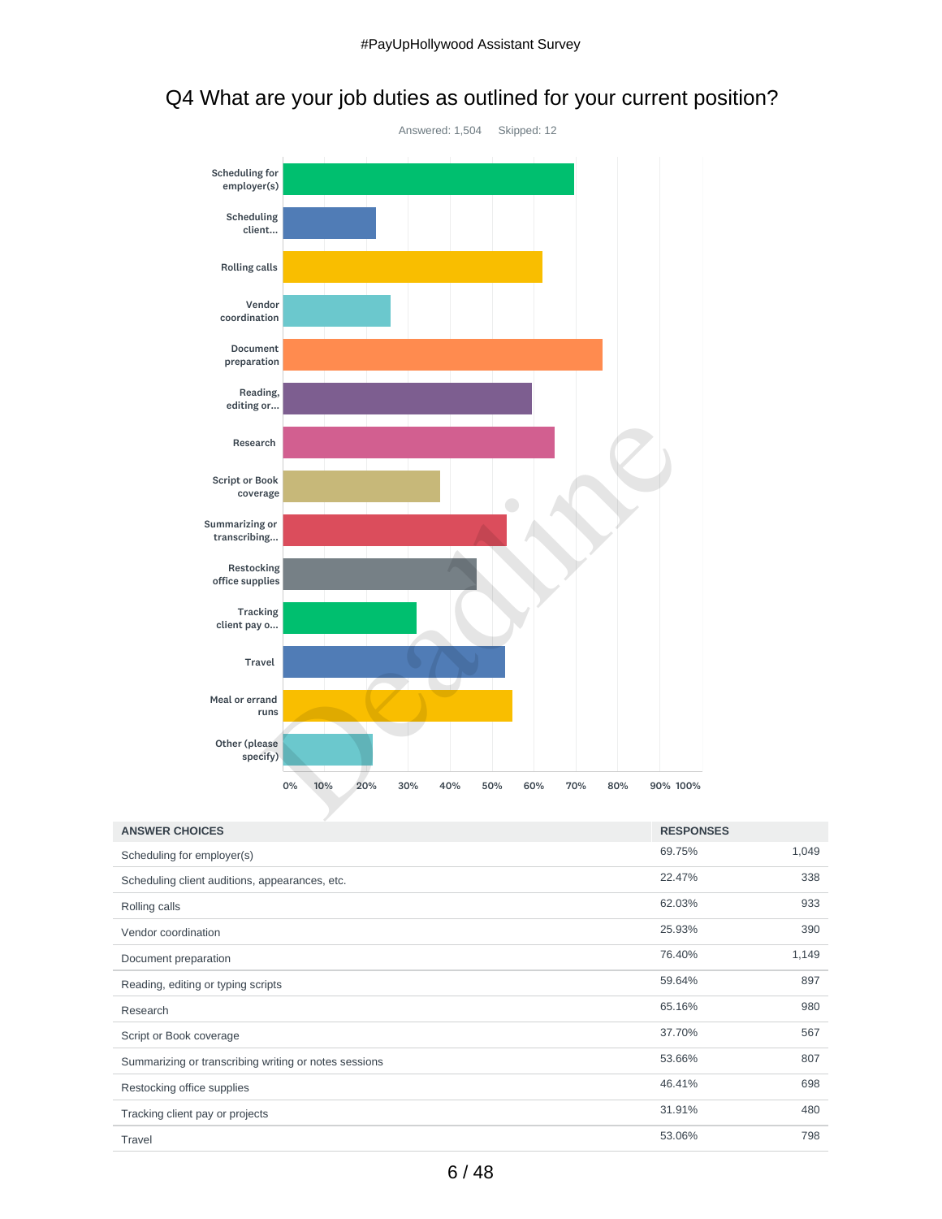

# Q4 What are your job duties as outlined for your current position?

| <b>ANSWER CHOICES</b>                                 | <b>RESPONSES</b> |       |
|-------------------------------------------------------|------------------|-------|
| Scheduling for employer(s)                            | 69.75%           | 1,049 |
| Scheduling client auditions, appearances, etc.        | 22.47%           | 338   |
| Rolling calls                                         | 62.03%           | 933   |
| Vendor coordination                                   | 25.93%           | 390   |
| Document preparation                                  | 76.40%           | 1,149 |
| Reading, editing or typing scripts                    | 59.64%           | 897   |
| Research                                              | 65.16%           | 980   |
| Script or Book coverage                               | 37.70%           | 567   |
| Summarizing or transcribing writing or notes sessions | 53.66%           | 807   |
| Restocking office supplies                            | 46.41%           | 698   |
| Tracking client pay or projects                       | 31.91%           | 480   |
| Travel                                                | 53.06%           | 798   |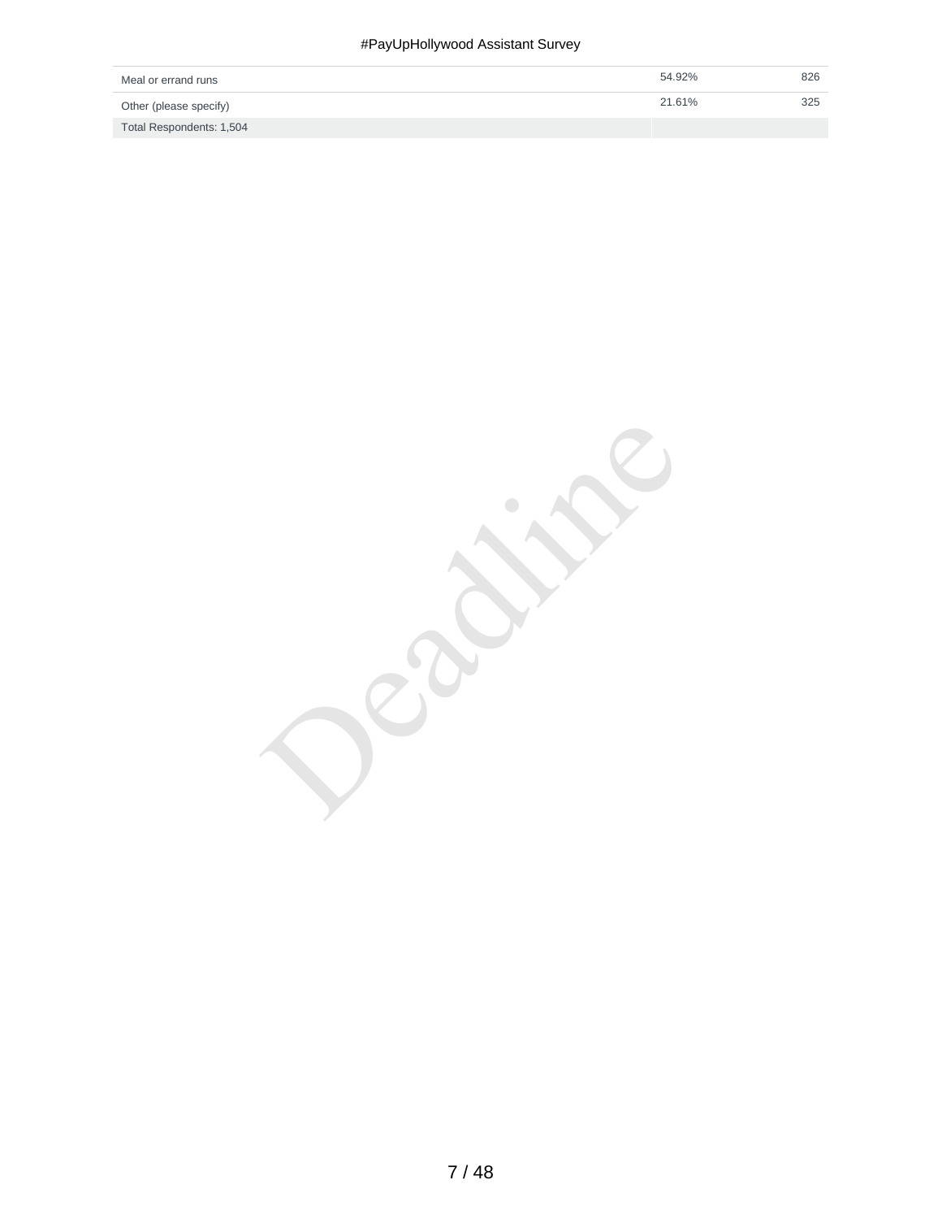#### #PayUpHollywood Assistant Survey

| Meal or errand runs      | 54.92% | 826 |
|--------------------------|--------|-----|
| Other (please specify)   | 21.61% | 325 |
| Total Respondents: 1,504 |        |     |

Deadlished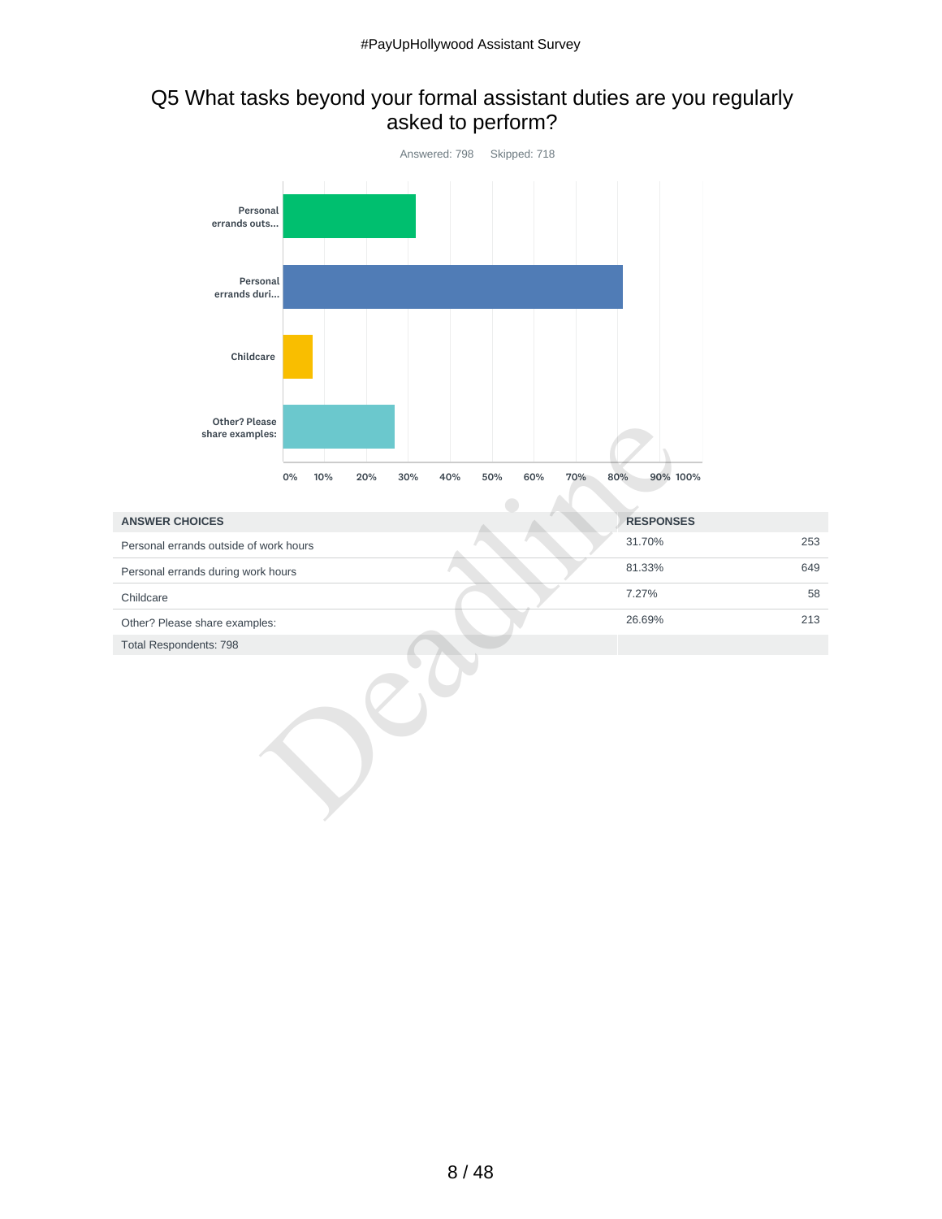## Q5 What tasks beyond your formal assistant duties are you regularly asked to perform?



| <b>ANSWER CHOICES</b>                  | <b>RESPONSES</b> |
|----------------------------------------|------------------|
| Personal errands outside of work hours | 31.70%<br>253    |
| Personal errands during work hours     | 81.33%<br>649    |
| Childcare                              | 58<br>7.27%      |
| Other? Please share examples:          | 26.69%<br>213    |
| <b>Total Respondents: 798</b>          |                  |
|                                        |                  |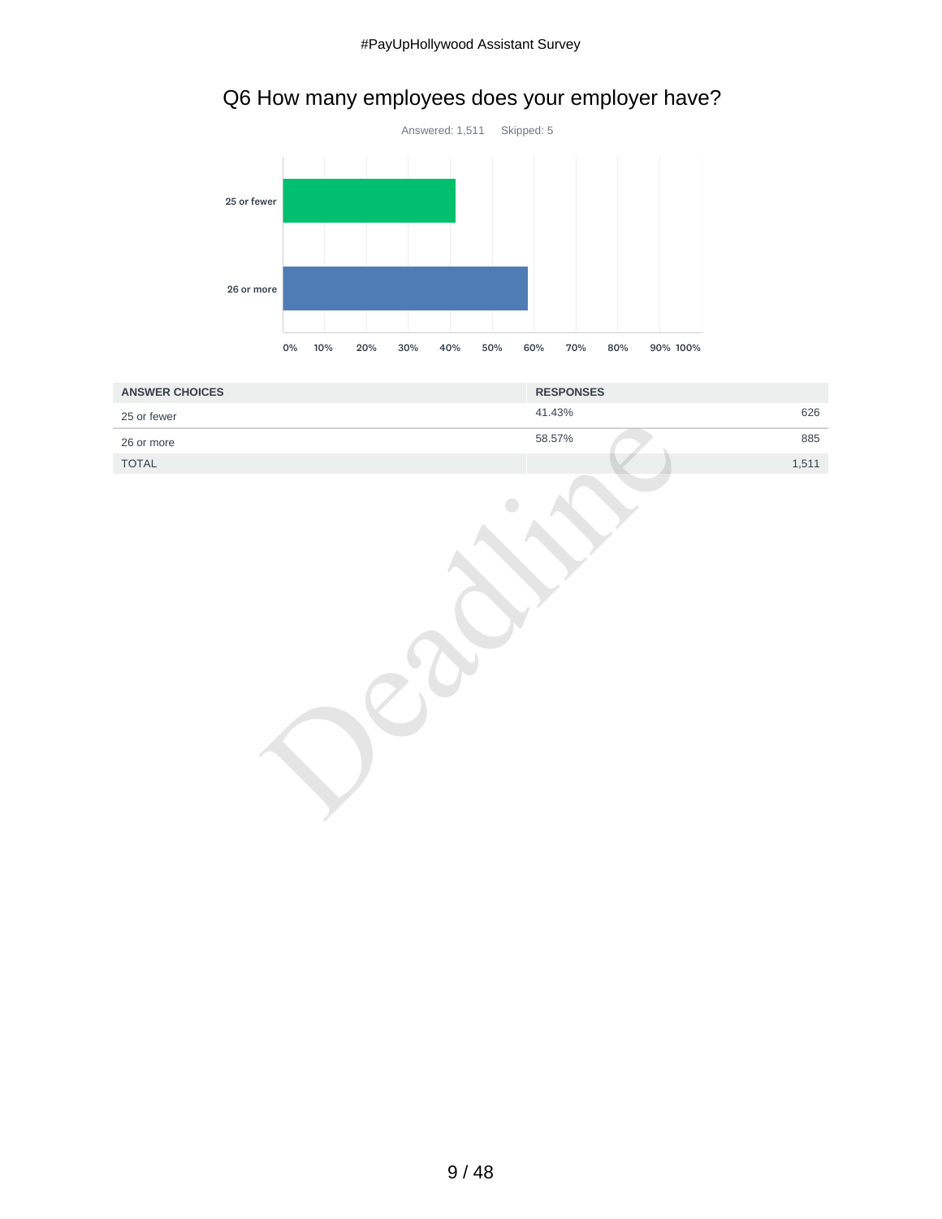# Q6 How many employees does your employer have?



| <b>ANSWER CHOICES</b> | <b>RESPONSES</b> |
|-----------------------|------------------|
| 25 or fewer           | 626<br>41.43%    |
| 26 or more            | 58.57%<br>885    |
| TOTAL                 | 1,511            |
|                       |                  |

9 / 48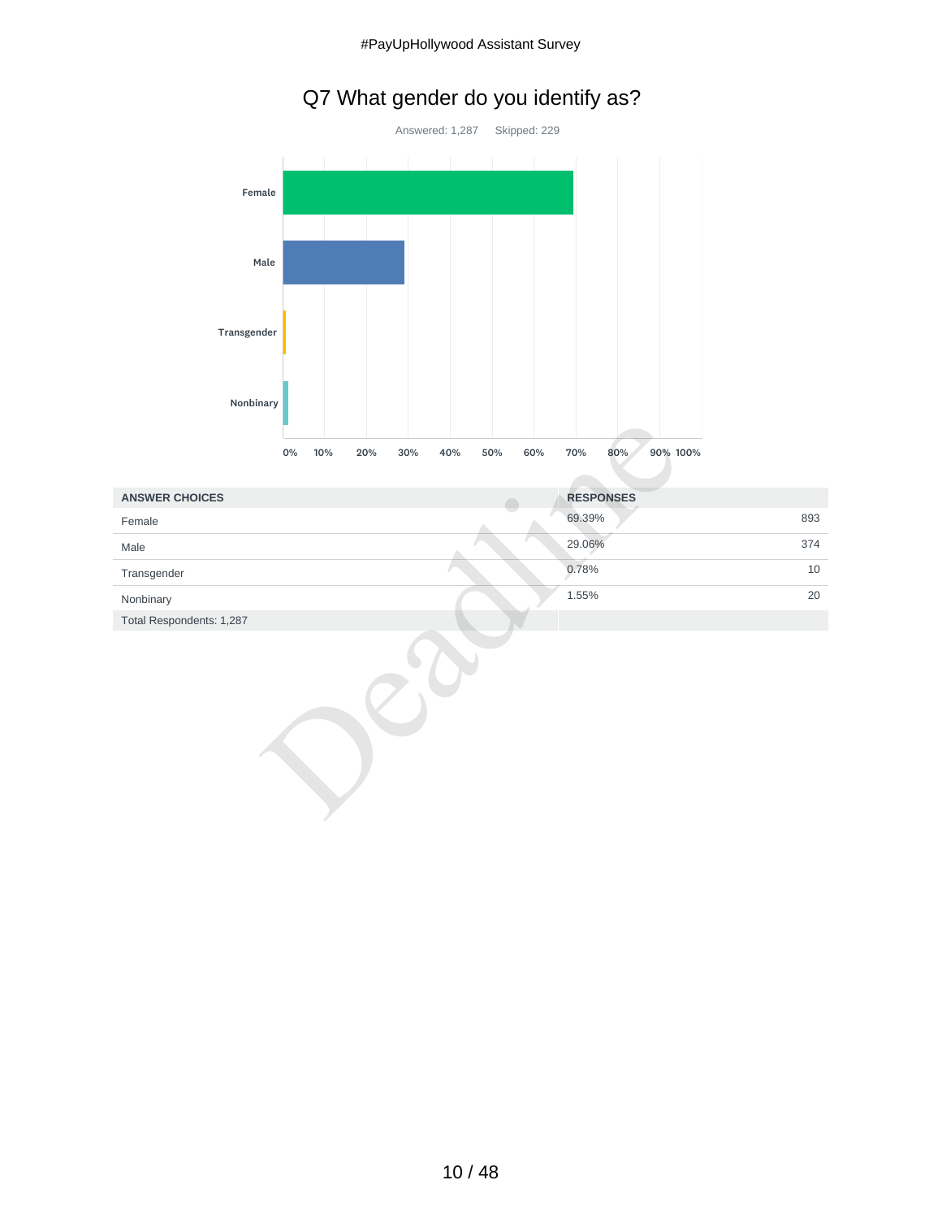# Q7 What gender do you identify as?



| <b>ANSWER CHOICES</b>    | <b>RESPONSES</b> |     |
|--------------------------|------------------|-----|
| Female                   | 69.39%           | 893 |
| Male                     | 29.06%           | 374 |
| Transgender              | 0.78%            | 10  |
| Nonbinary                | 1.55%            | 20  |
| Total Respondents: 1,287 |                  |     |
|                          |                  |     |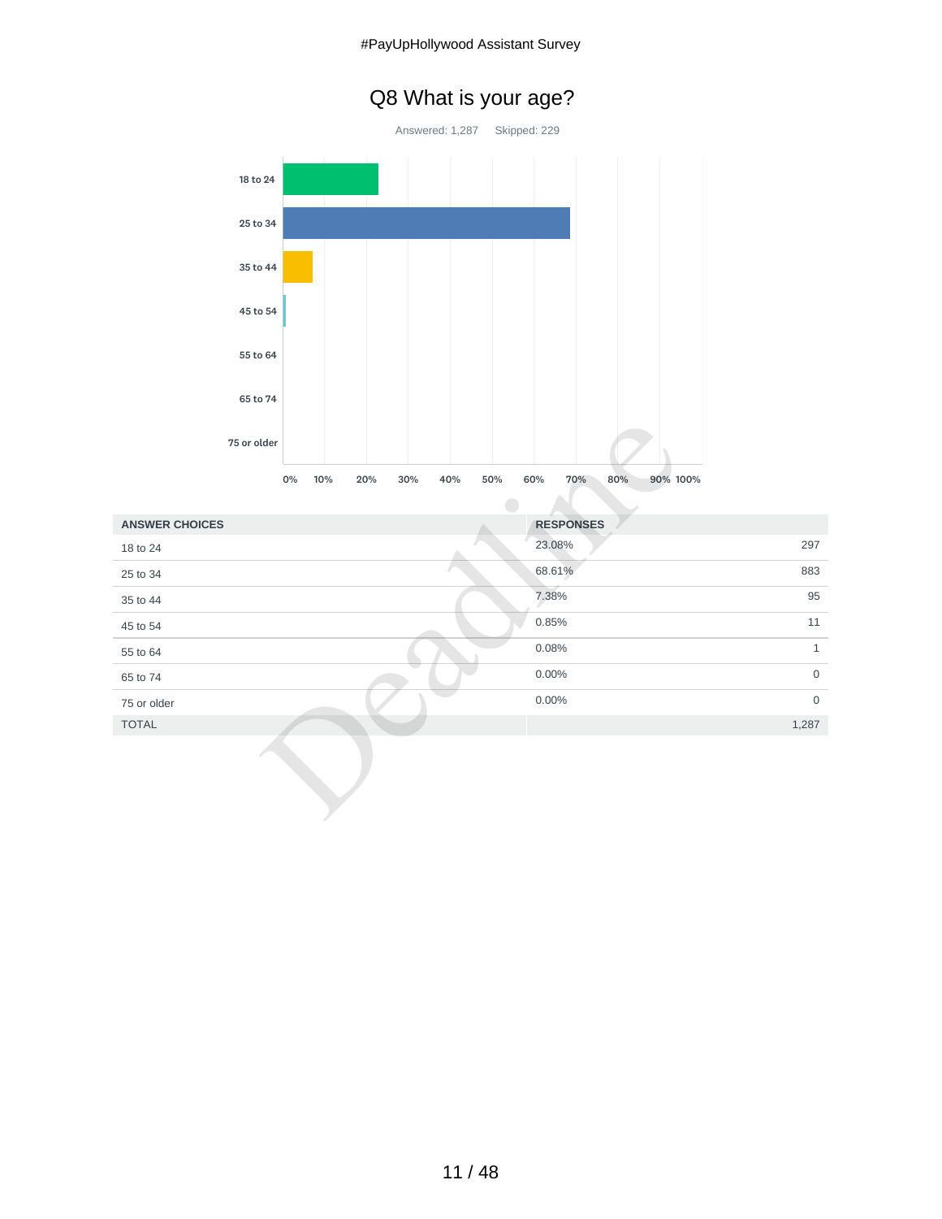# Q8 What is your age?



|                       | 75 or older             |            |                               |                     |
|-----------------------|-------------------------|------------|-------------------------------|---------------------|
|                       | 0%<br>10%<br>20%<br>30% | 40%<br>50% | 60%<br>70%<br>80%<br>90% 100% |                     |
| <b>ANSWER CHOICES</b> |                         |            | <b>RESPONSES</b>              |                     |
| 18 to 24              |                         |            | 23.08%                        | 297                 |
| 25 to 34              |                         |            | 68.61%                        | 883                 |
| 35 to 44              |                         |            | 7.38%                         | 95                  |
| 45 to 54              |                         |            | 0.85%                         | 11                  |
| 55 to 64              |                         |            | 0.08%                         | $\mathbf{1}$        |
| 65 to 74              |                         |            | 0.00%                         | $\mathsf{O}\xspace$ |
| 75 or older           |                         |            | 0.00%                         | $\mathbf 0$         |
| <b>TOTAL</b>          |                         |            |                               | 1,287               |
|                       |                         |            |                               |                     |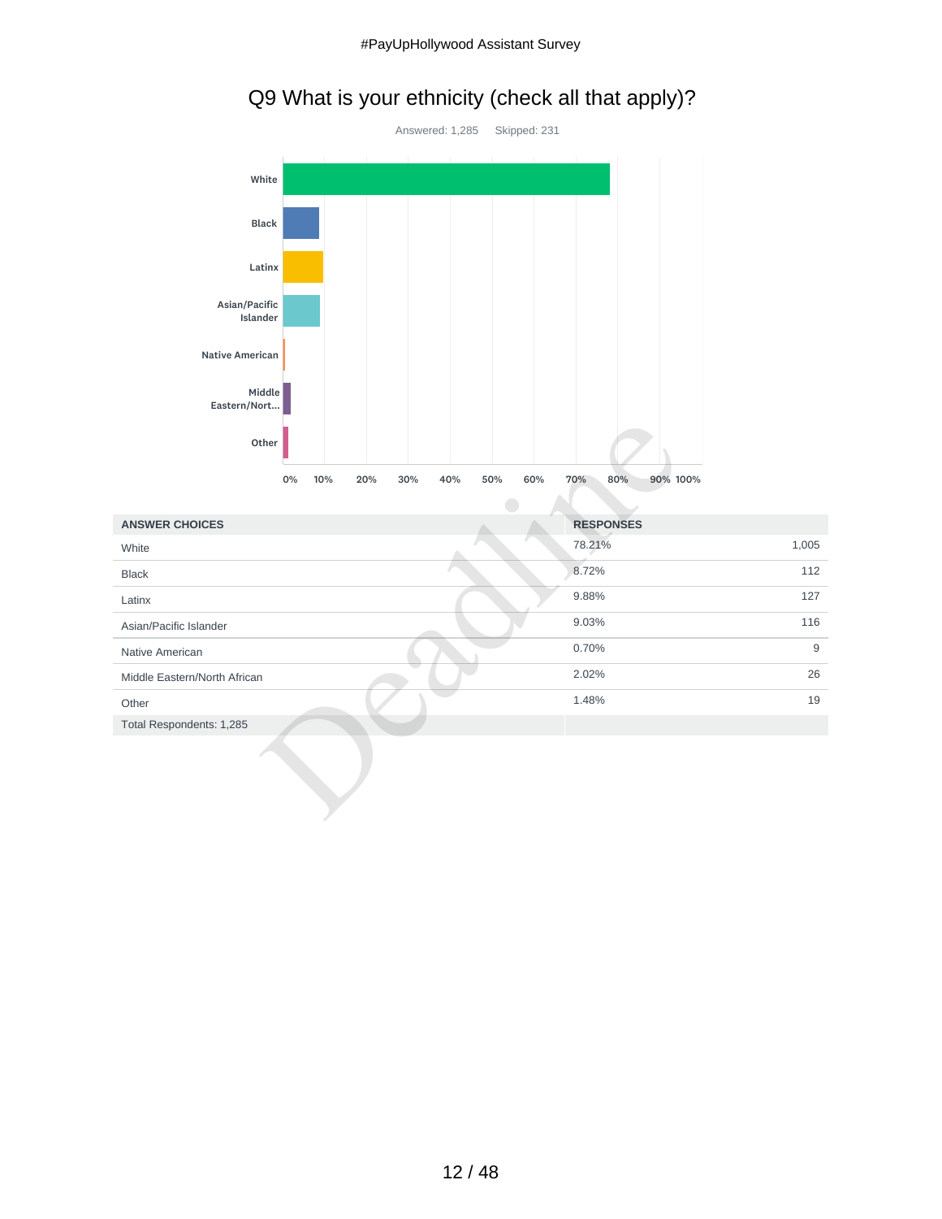# Q9 What is your ethnicity (check all that apply)?



| Other                        |           |            |            |     |                        |       |
|------------------------------|-----------|------------|------------|-----|------------------------|-------|
|                              | 0%<br>10% | 30%<br>20% | 50%<br>40% | 60% | 70%<br>80%<br>90% 100% |       |
| <b>ANSWER CHOICES</b>        |           |            |            |     | <b>RESPONSES</b>       |       |
| White                        |           |            |            |     | 78.21%                 | 1,005 |
| <b>Black</b>                 |           |            |            |     | 8.72%                  | 112   |
| Latinx                       |           |            |            |     | 9.88%                  | 127   |
| Asian/Pacific Islander       |           |            |            |     | 9.03%                  | 116   |
| Native American              |           |            |            |     | 0.70%                  | 9     |
| Middle Eastern/North African |           |            |            |     | 2.02%                  | 26    |
| Other                        |           |            |            |     | 1.48%                  | 19    |
| Total Respondents: 1,285     |           |            |            |     |                        |       |
|                              |           |            |            |     |                        |       |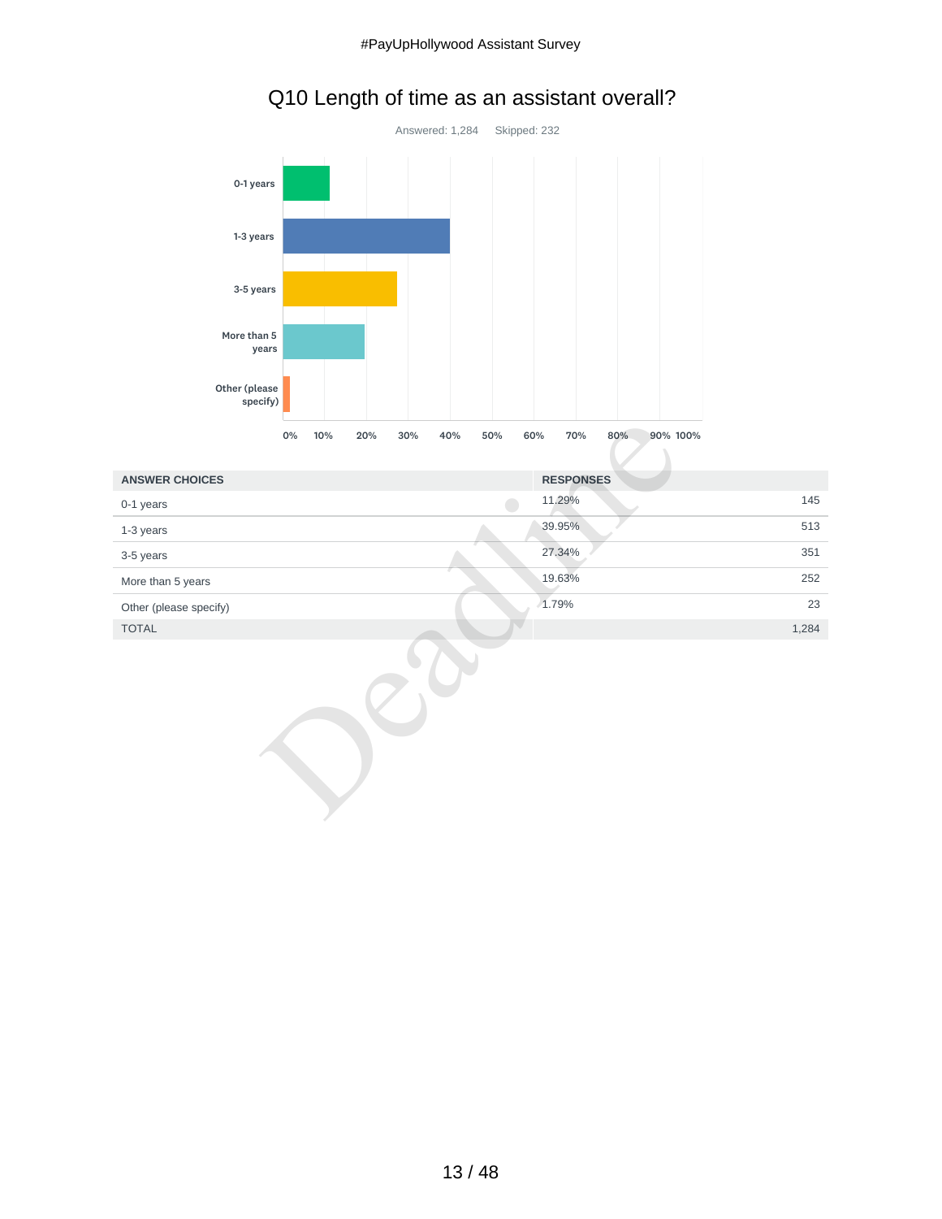



|                        | 0%<br>90% 100%<br>10%<br>20%<br>30%<br>40%<br>50%<br>60%<br>70%<br>80% |       |
|------------------------|------------------------------------------------------------------------|-------|
| <b>ANSWER CHOICES</b>  | <b>RESPONSES</b>                                                       |       |
| 0-1 years              | 11.29%                                                                 | 145   |
| 1-3 years              | 39.95%                                                                 | 513   |
| 3-5 years              | 27.34%                                                                 | 351   |
| More than 5 years      | 19.63%                                                                 | 252   |
| Other (please specify) | 1.79%                                                                  | 23    |
| <b>TOTAL</b>           |                                                                        | 1,284 |
|                        |                                                                        |       |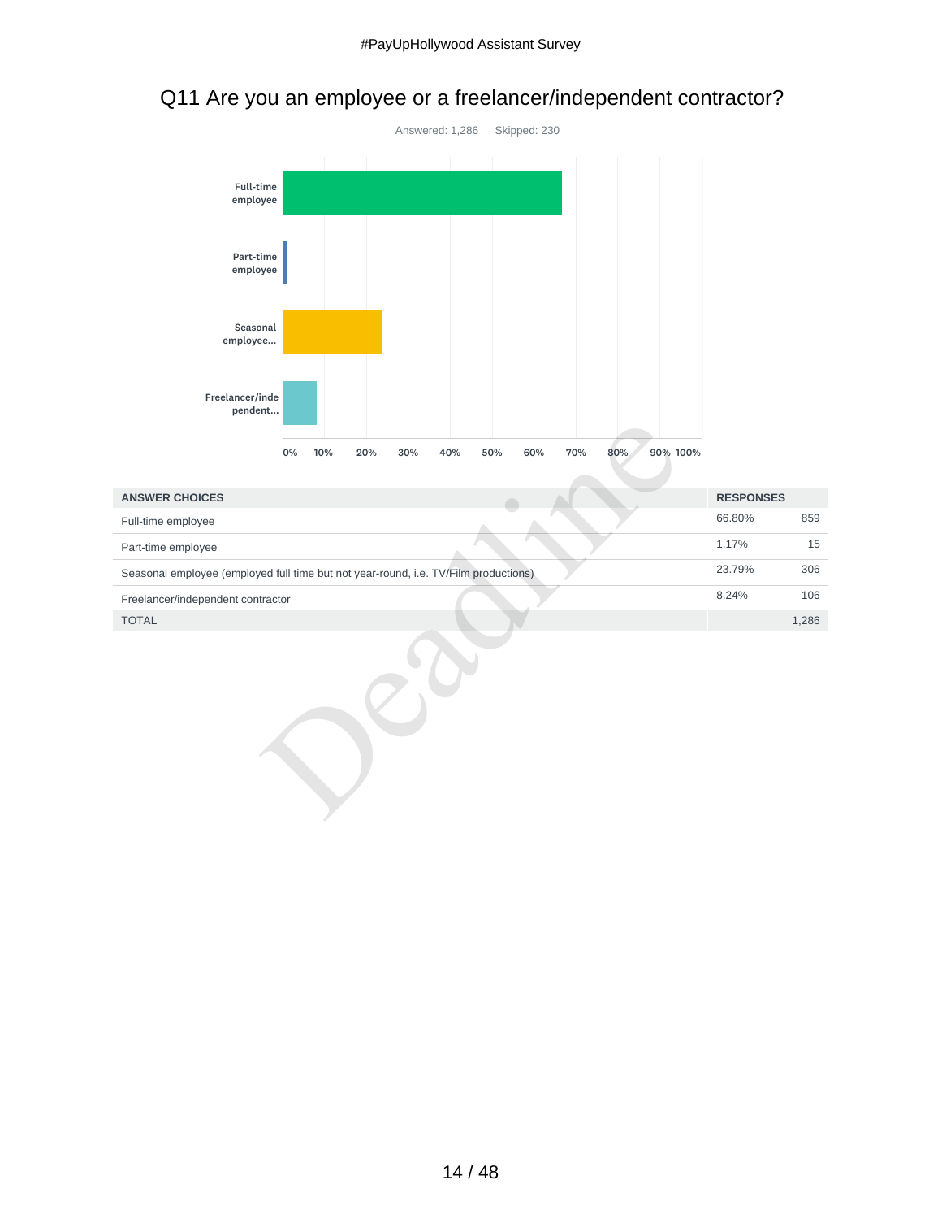## Q11 Are you an employee or a freelancer/independent contractor?



|                                                                                     | 0% | 10%<br>20% | 30% | 40% | 50% | 60% | 70% | 80% | 90% 100% |                  |       |
|-------------------------------------------------------------------------------------|----|------------|-----|-----|-----|-----|-----|-----|----------|------------------|-------|
|                                                                                     |    |            |     |     |     |     |     |     |          |                  |       |
| <b>ANSWER CHOICES</b>                                                               |    |            |     |     |     |     |     |     |          | <b>RESPONSES</b> |       |
| Full-time employee                                                                  |    |            |     |     |     |     |     |     |          | 66.80%           | 859   |
| Part-time employee                                                                  |    |            |     |     |     |     |     |     |          | 1.17%            | 15    |
| Seasonal employee (employed full time but not year-round, i.e. TV/Film productions) |    |            |     |     |     |     |     |     |          | 23.79%           | 306   |
| Freelancer/independent contractor                                                   |    |            |     |     |     |     |     |     |          | 8.24%            | 106   |
| <b>TOTAL</b>                                                                        |    |            |     |     |     |     |     |     |          |                  | 1,286 |
|                                                                                     |    |            |     |     |     |     |     |     |          |                  |       |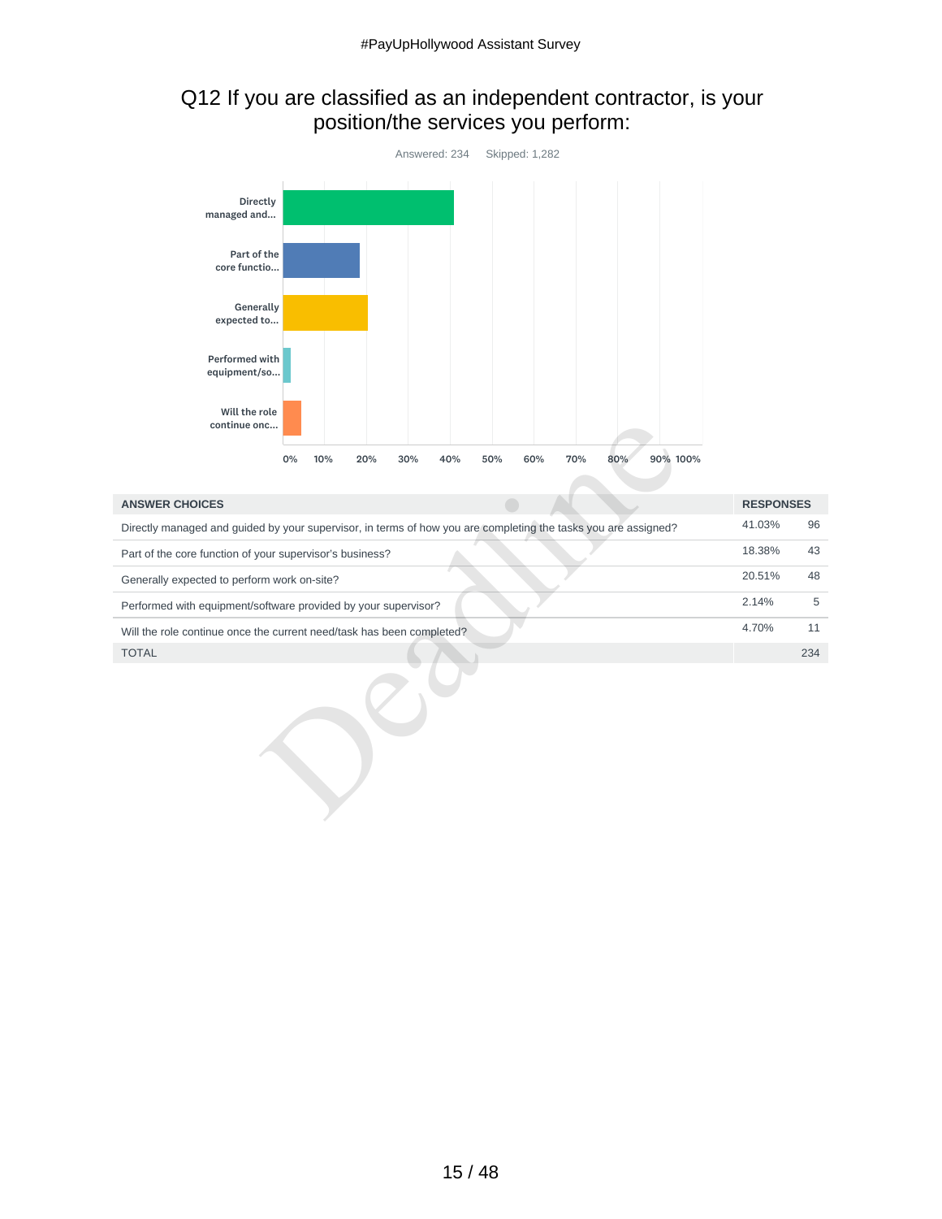## Q12 If you are classified as an independent contractor, is your position/the services you perform:



| continue onc                                                                                                   |                  |     |
|----------------------------------------------------------------------------------------------------------------|------------------|-----|
| 90% 100%<br>0%<br>10%<br>60%<br>70%<br>20%<br>30%<br>40%<br>50%<br>80%                                         |                  |     |
|                                                                                                                |                  |     |
| <b>ANSWER CHOICES</b>                                                                                          | <b>RESPONSES</b> |     |
| Directly managed and guided by your supervisor, in terms of how you are completing the tasks you are assigned? | 41.03%           | 96  |
| Part of the core function of your supervisor's business?                                                       | 18.38%           | 43  |
| Generally expected to perform work on-site?                                                                    | 20.51%           | 48  |
| Performed with equipment/software provided by your supervisor?                                                 | 2.14%            | 5   |
| Will the role continue once the current need/task has been completed?                                          | 4.70%            | 11  |
| <b>TOTAL</b>                                                                                                   |                  | 234 |
|                                                                                                                |                  |     |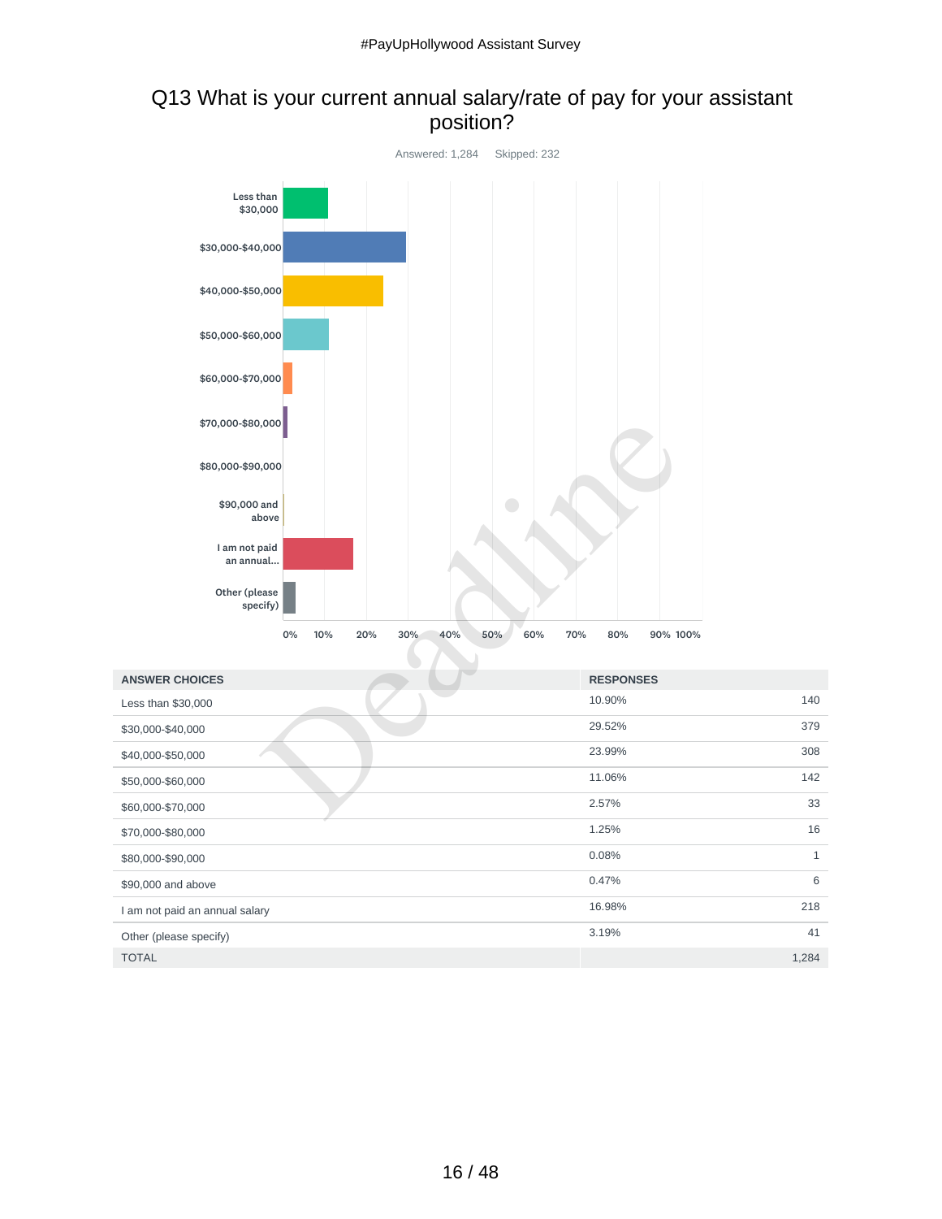## Q13 What is your current annual salary/rate of pay for your assistant position?



| <b>ANSWER CHOICES</b>          | <b>RESPONSES</b> |              |
|--------------------------------|------------------|--------------|
| Less than \$30,000             | 10.90%           | 140          |
| \$30,000-\$40,000              | 29.52%           | 379          |
| \$40,000-\$50,000              | 23.99%           | 308          |
| \$50,000-\$60,000              | 11.06%           | 142          |
| \$60,000-\$70,000              | 2.57%            | 33           |
| \$70,000-\$80,000              | 1.25%            | 16           |
| \$80,000-\$90,000              | 0.08%            | $\mathbf{1}$ |
| \$90,000 and above             | 0.47%            | 6            |
| I am not paid an annual salary | 16.98%           | 218          |
| Other (please specify)         | 3.19%            | 41           |
| <b>TOTAL</b>                   |                  | 1,284        |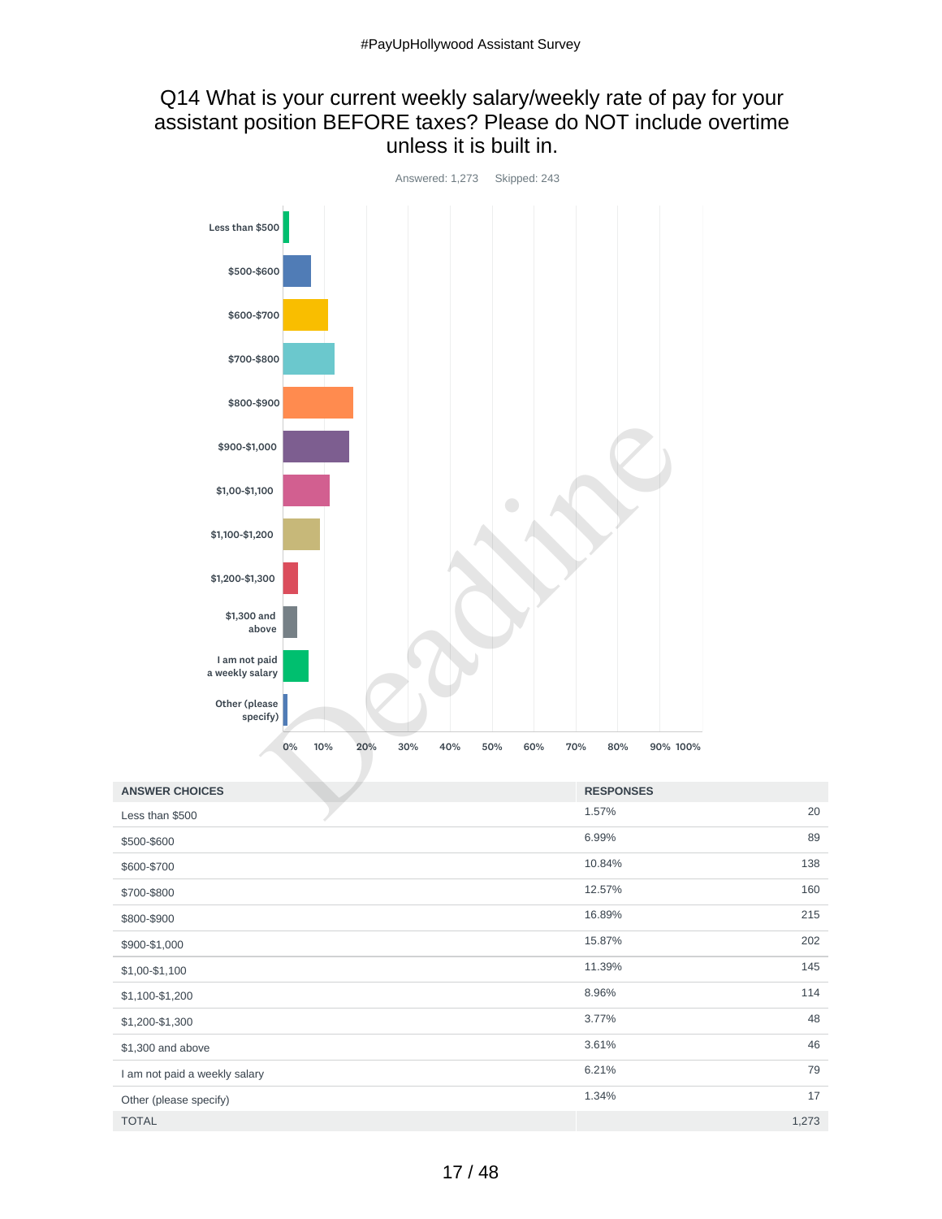#### Q14 What is your current weekly salary/weekly rate of pay for your assistant position BEFORE taxes? Please do NOT include overtime unless it is built in.



| <b>ANSWER CHOICES</b>         | <b>RESPONSES</b> |
|-------------------------------|------------------|
| Less than \$500               | 20<br>1.57%      |
| \$500-\$600                   | 89<br>6.99%      |
| \$600-\$700                   | 138<br>10.84%    |
| \$700-\$800                   | 12.57%<br>160    |
| \$800-\$900                   | 215<br>16.89%    |
| \$900-\$1,000                 | 202<br>15.87%    |
| \$1,00-\$1,100                | 145<br>11.39%    |
| \$1,100-\$1,200               | 8.96%<br>114     |
| \$1,200-\$1,300               | 48<br>3.77%      |
| \$1,300 and above             | 46<br>3.61%      |
| I am not paid a weekly salary | 79<br>6.21%      |
| Other (please specify)        | 17<br>1.34%      |
| <b>TOTAL</b>                  | 1,273            |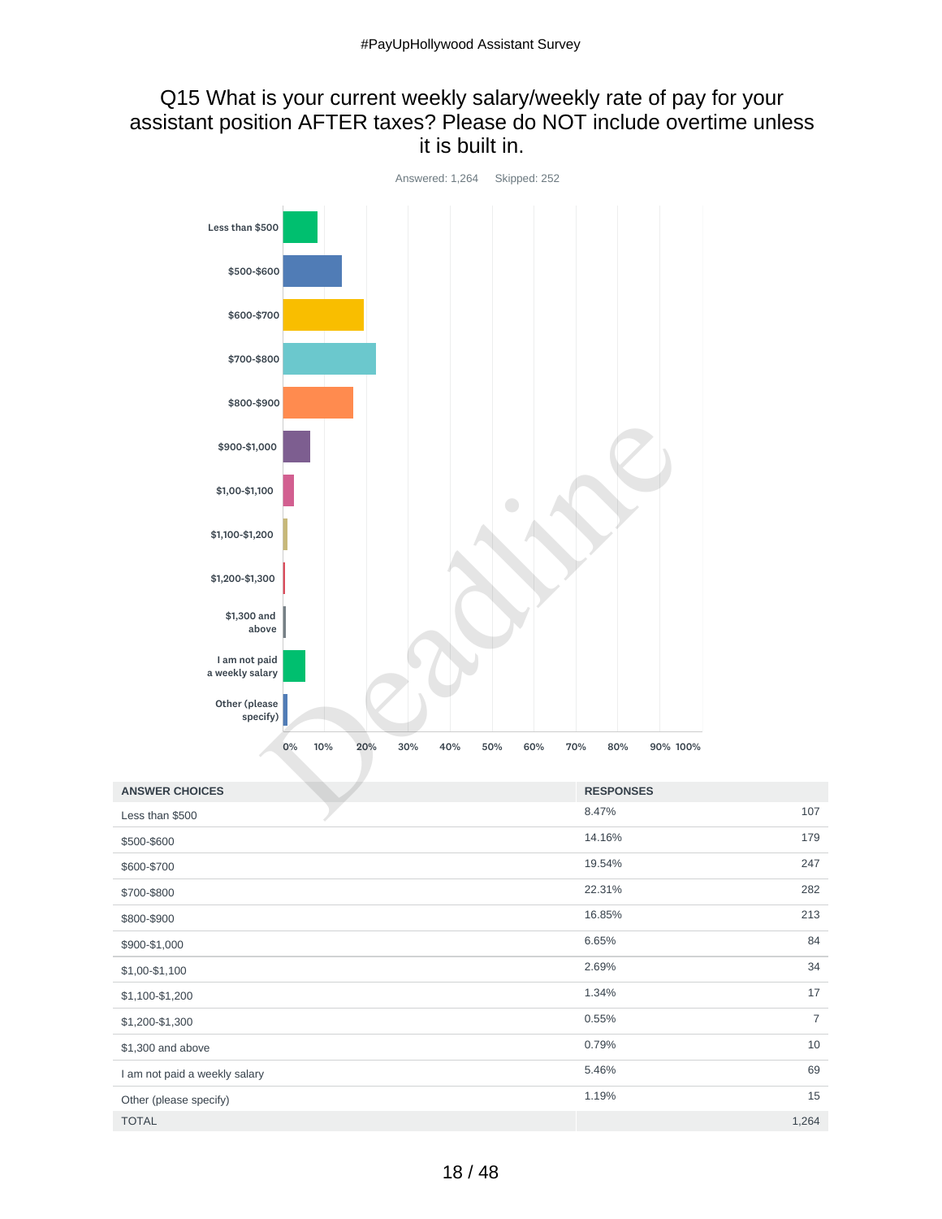#### Q15 What is your current weekly salary/weekly rate of pay for your assistant position AFTER taxes? Please do NOT include overtime unless it is built in.



| <b>ANSWER CHOICES</b>         | <b>RESPONSES</b> |                |
|-------------------------------|------------------|----------------|
| Less than \$500               | 8.47%            | 107            |
| \$500-\$600                   | 14.16%           | 179            |
| \$600-\$700                   | 19.54%           | 247            |
| \$700-\$800                   | 22.31%           | 282            |
| \$800-\$900                   | 16.85%           | 213            |
| \$900-\$1,000                 | 6.65%            | 84             |
| \$1,00-\$1,100                | 2.69%            | 34             |
| \$1,100-\$1,200               | 1.34%            | 17             |
| \$1,200-\$1,300               | 0.55%            | $\overline{7}$ |
| \$1,300 and above             | 0.79%            | 10             |
| I am not paid a weekly salary | 5.46%            | 69             |
| Other (please specify)        | 1.19%            | 15             |
| <b>TOTAL</b>                  |                  | 1,264          |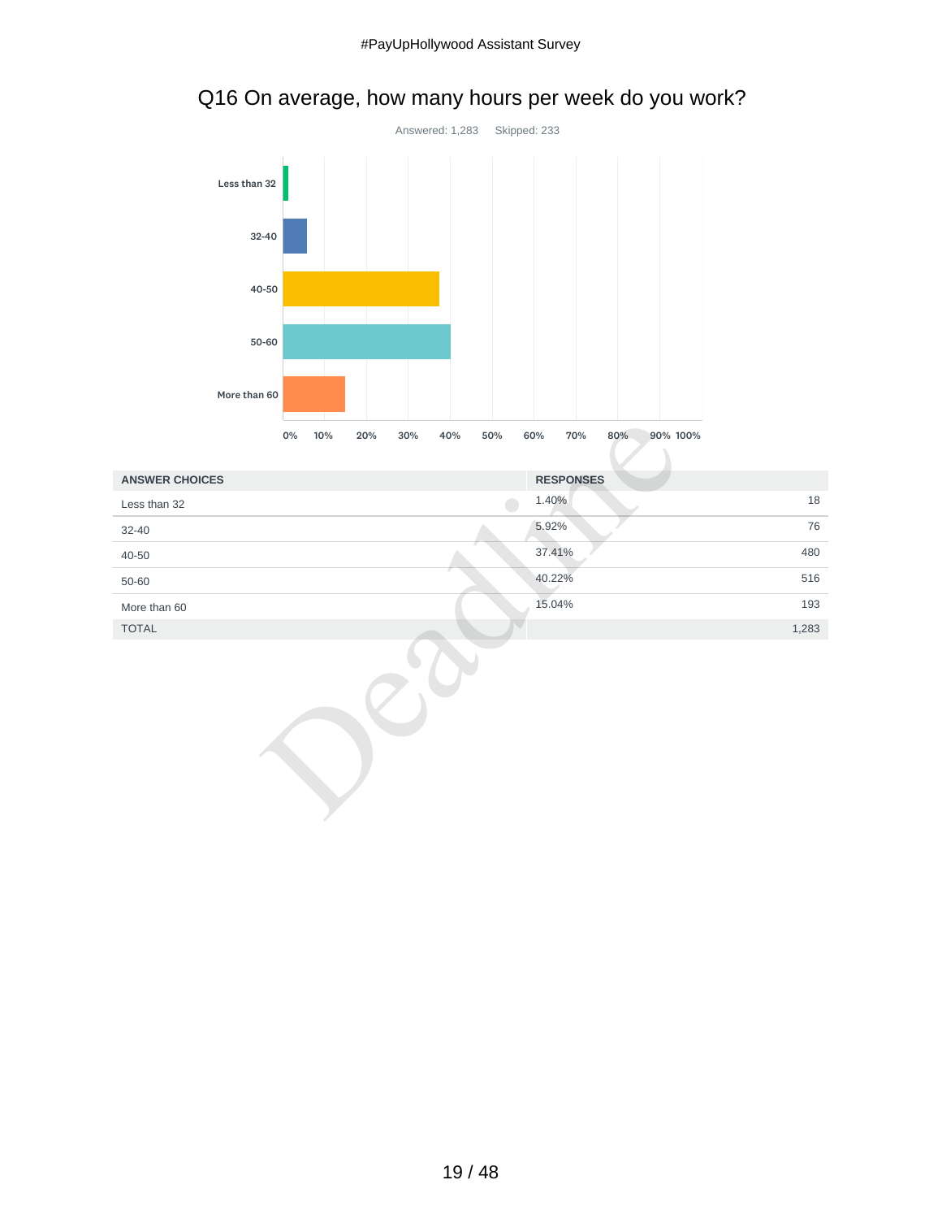

# Q16 On average, how many hours per week do you work?

|                       | 0%<br>10%<br>20%<br>30%<br>40%<br>50%<br>60%<br>70%<br>80%<br>90% 100% |        |
|-----------------------|------------------------------------------------------------------------|--------|
| <b>ANSWER CHOICES</b> | <b>RESPONSES</b>                                                       |        |
| Less than 32          | 1.40%                                                                  | $18\,$ |
| $32 - 40$             | 5.92%                                                                  | 76     |
| 40-50                 | 37.41%                                                                 | 480    |
| 50-60                 | 40.22%                                                                 | 516    |
| More than 60          | 15.04%                                                                 | 193    |
| <b>TOTAL</b>          |                                                                        | 1,283  |
|                       |                                                                        |        |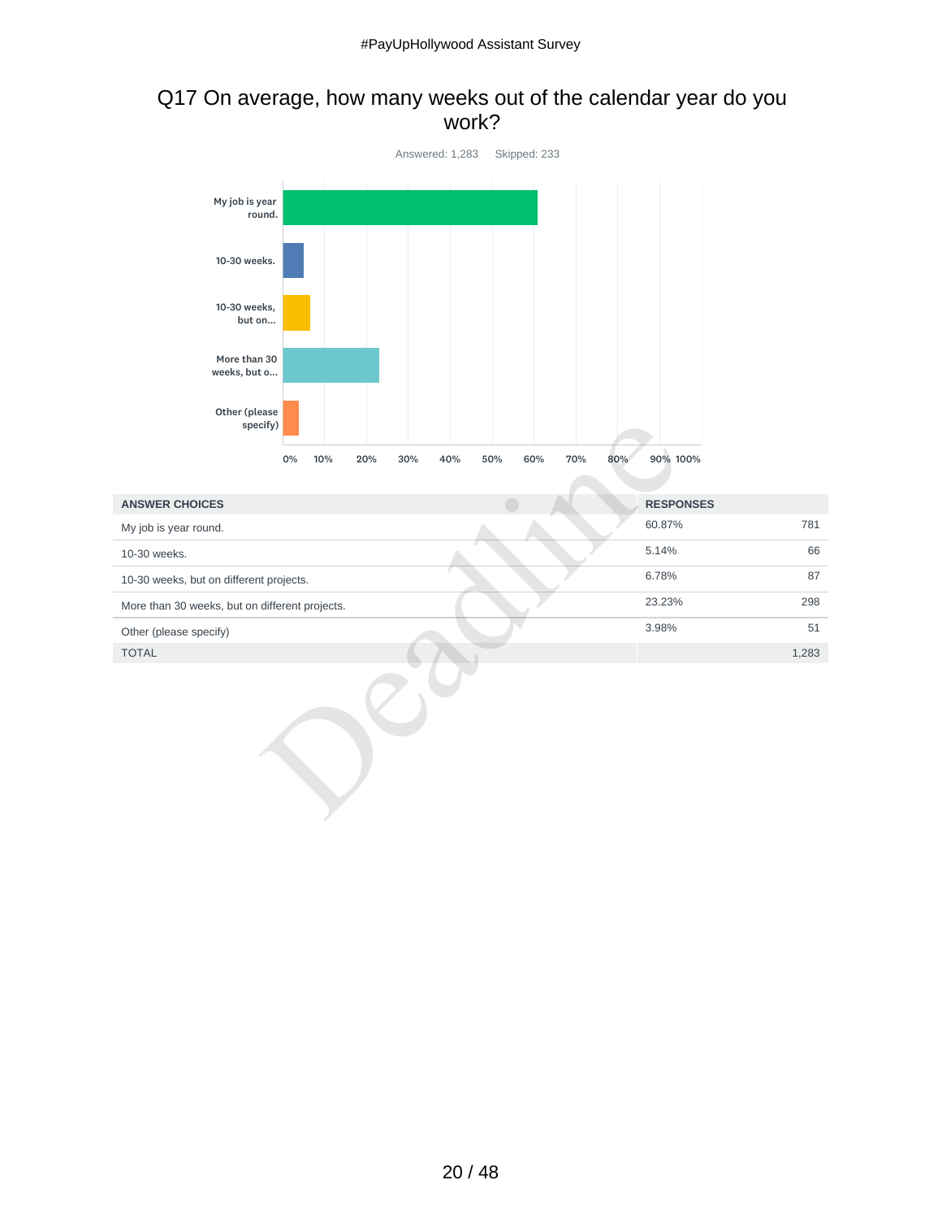#### Q17 On average, how many weeks out of the calendar year do you work?



| specify)                                       |           |            |            |     |            |                  |       |
|------------------------------------------------|-----------|------------|------------|-----|------------|------------------|-------|
|                                                | 0%<br>10% | 30%<br>20% | 40%<br>50% | 60% | 70%<br>80% | 90% 100%         |       |
|                                                |           |            |            |     |            |                  |       |
| <b>ANSWER CHOICES</b>                          |           |            |            |     |            | <b>RESPONSES</b> |       |
| My job is year round.                          |           |            |            |     |            | 60.87%           | 781   |
| 10-30 weeks.                                   |           |            |            |     |            | 5.14%            | 66    |
| 10-30 weeks, but on different projects.        |           |            |            |     |            | 6.78%            | 87    |
| More than 30 weeks, but on different projects. |           |            |            |     |            | 23.23%           | 298   |
| Other (please specify)                         |           |            |            |     |            | 3.98%            | 51    |
| <b>TOTAL</b>                                   |           |            |            |     |            |                  | 1,283 |
|                                                |           |            |            |     |            |                  |       |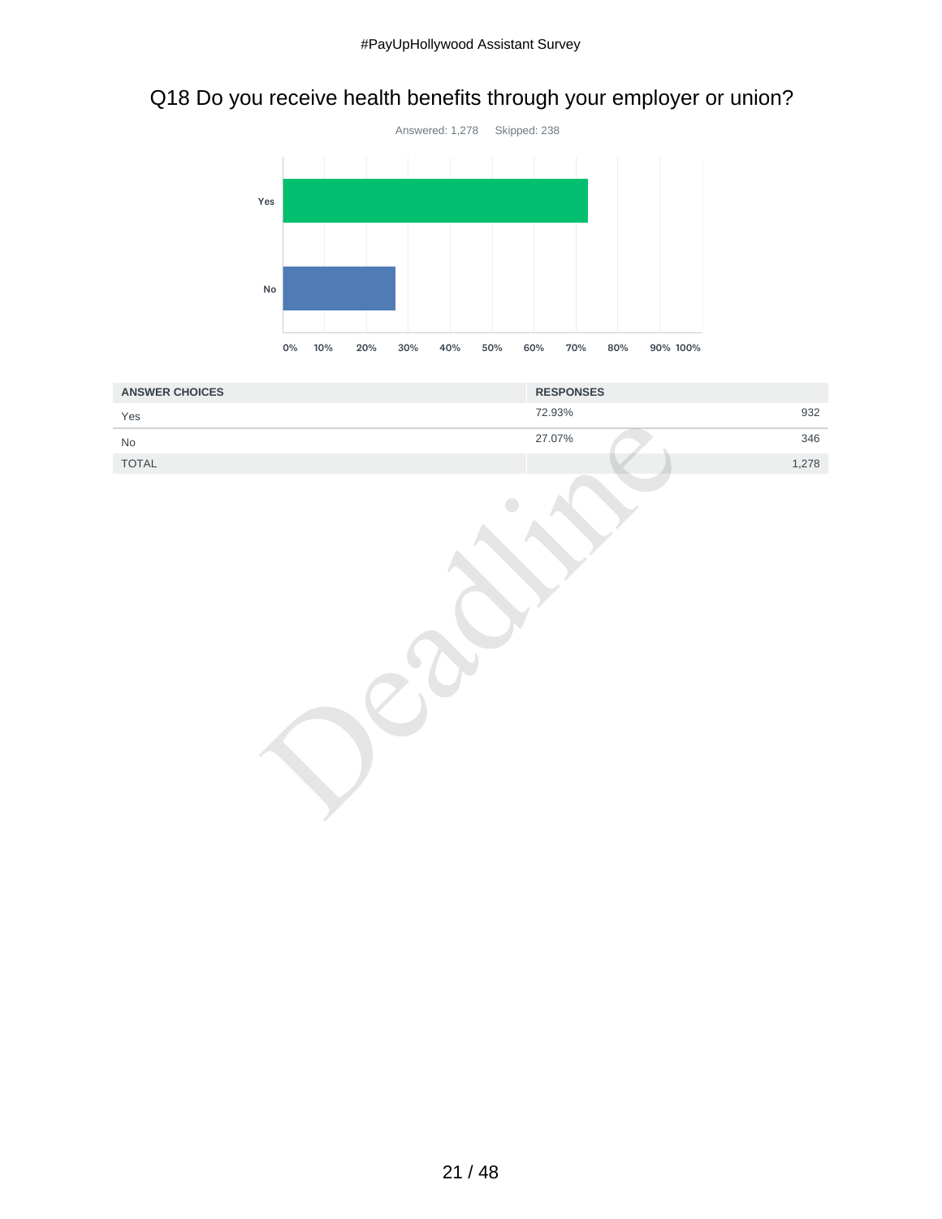# Q18 Do you receive health benefits through your employer or union?



| <b>ANSWER CHOICES</b>        | <b>RESPONSES</b> |
|------------------------------|------------------|
| Yes                          | 932<br>72.93%    |
| $\operatorname{\mathsf{No}}$ | 27.07%<br>346    |
| TOTAL                        | 1,278            |
|                              |                  |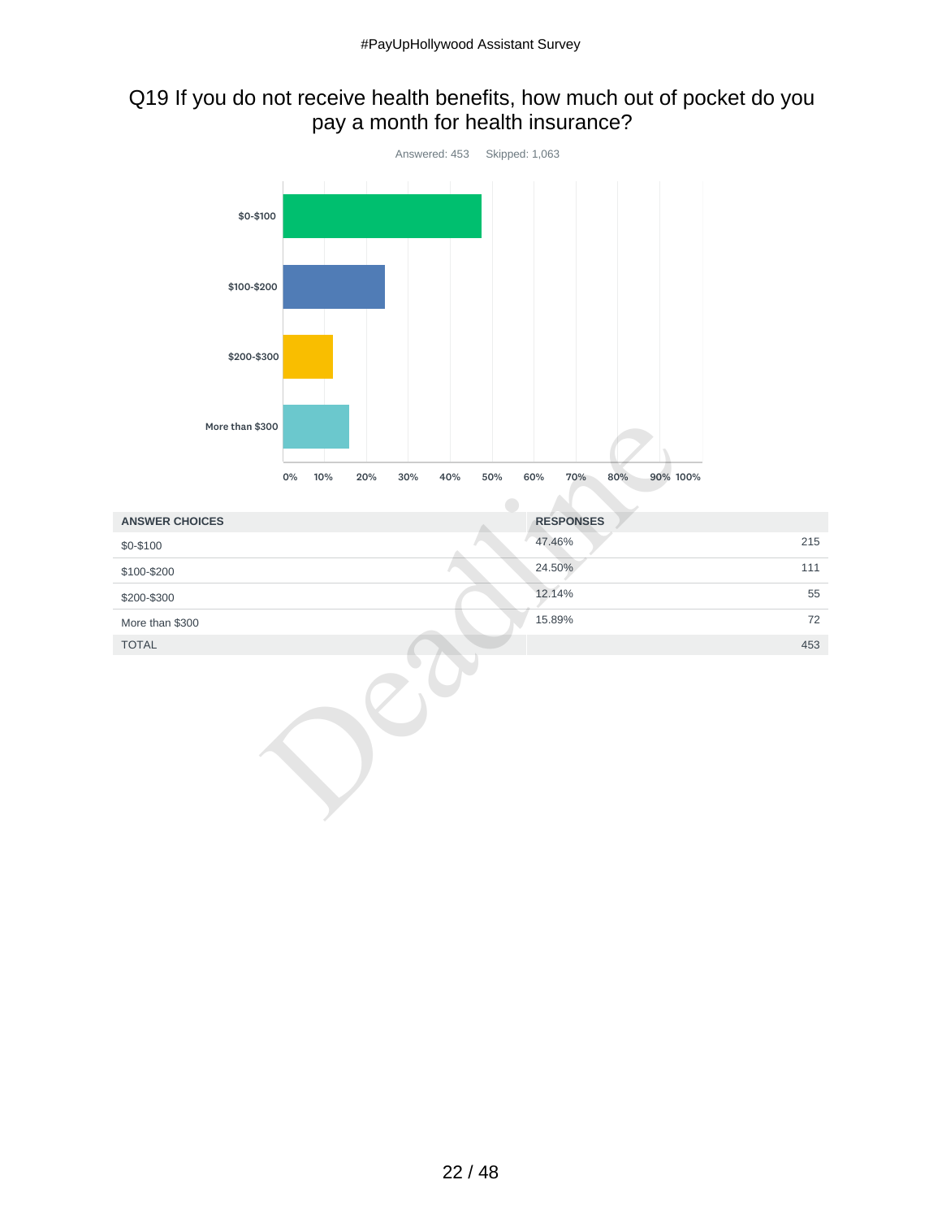## Q19 If you do not receive health benefits, how much out of pocket do you pay a month for health insurance?



| More than \$300       |           |                   |                                      |     |
|-----------------------|-----------|-------------------|--------------------------------------|-----|
|                       | 0%<br>10% | 20%<br>30%<br>40% | 60%<br>70%<br>90% 100%<br>50%<br>80% |     |
| <b>ANSWER CHOICES</b> |           |                   | <b>RESPONSES</b>                     |     |
| \$0-\$100             |           |                   | 47.46%                               | 215 |
| \$100-\$200           |           |                   | 24.50%                               | 111 |
| \$200-\$300           |           |                   | 12.14%                               | 55  |
| More than \$300       |           |                   | 15.89%                               | 72  |
| <b>TOTAL</b>          |           |                   |                                      | 453 |
|                       |           |                   |                                      |     |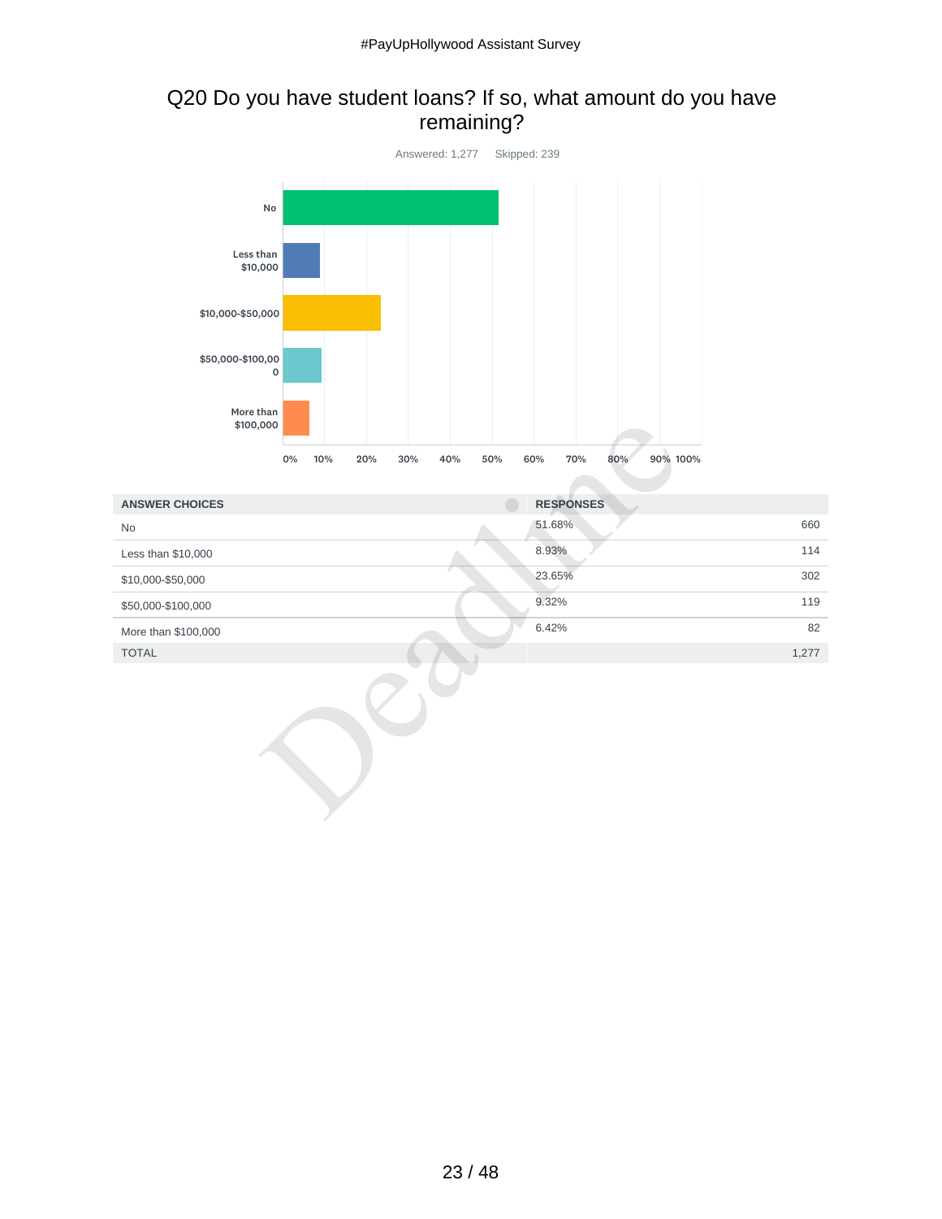## Q20 Do you have student loans? If so, what amount do you have remaining?



|                       | \$100,000                             |                               |       |
|-----------------------|---------------------------------------|-------------------------------|-------|
|                       | 0%<br>10%<br>20%<br>30%<br>40%<br>50% | 90% 100%<br>60%<br>70%<br>80% |       |
|                       |                                       |                               |       |
| <b>ANSWER CHOICES</b> |                                       | <b>RESPONSES</b>              |       |
| No                    |                                       | 51.68%                        | 660   |
| Less than \$10,000    |                                       | 8.93%                         | 114   |
| \$10,000-\$50,000     |                                       | 23.65%                        | 302   |
| \$50,000-\$100,000    |                                       | 9.32%                         | 119   |
| More than \$100,000   |                                       | 6.42%                         | 82    |
| <b>TOTAL</b>          |                                       |                               | 1,277 |
|                       |                                       |                               |       |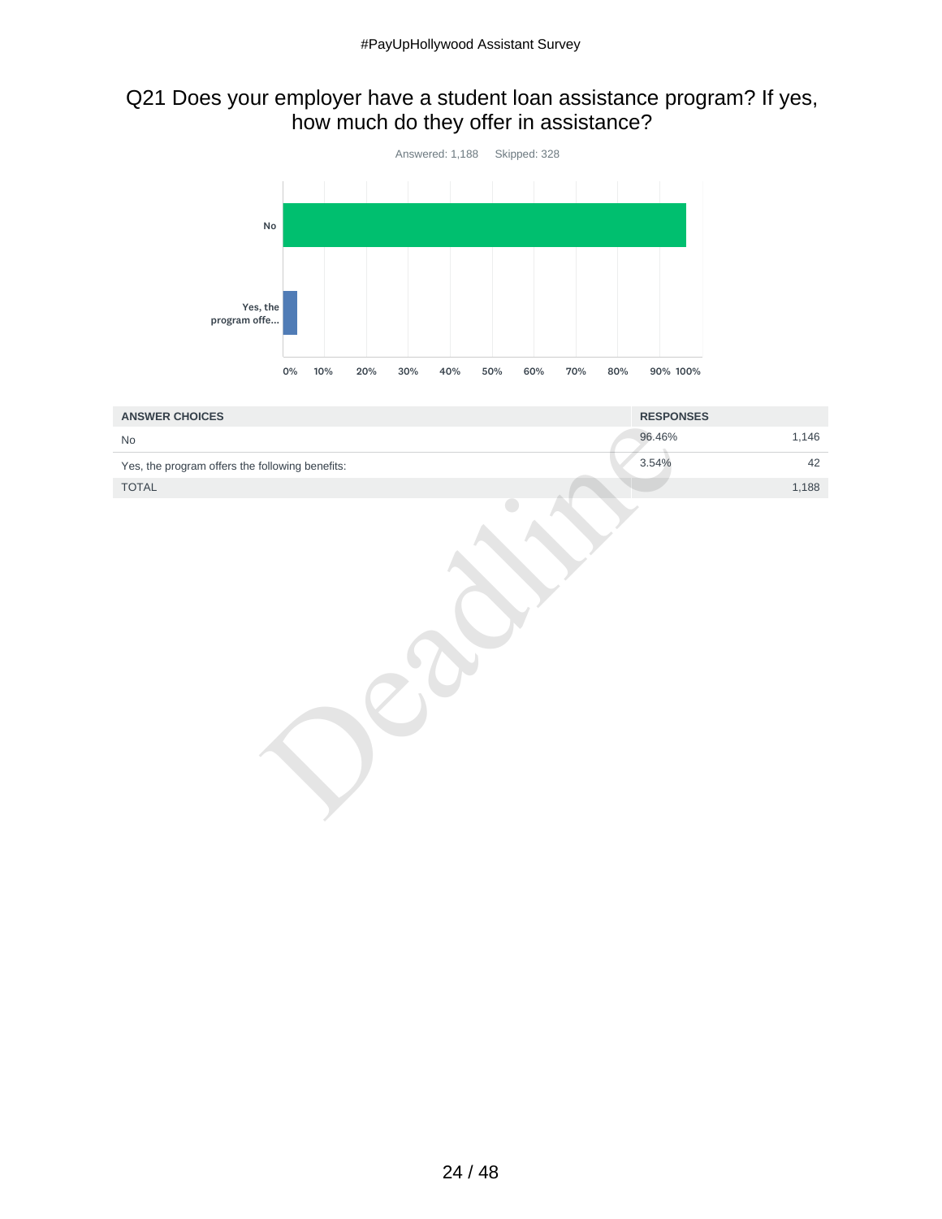## Q21 Does your employer have a student loan assistance program? If yes, how much do they offer in assistance?



| <b>ANSWER CHOICES</b>                           | <b>RESPONSES</b> |
|-------------------------------------------------|------------------|
| No                                              | 1,146<br>96.46%  |
| Yes, the program offers the following benefits: | 3.54%<br>42      |
| TOTAL                                           | 1,188            |
|                                                 |                  |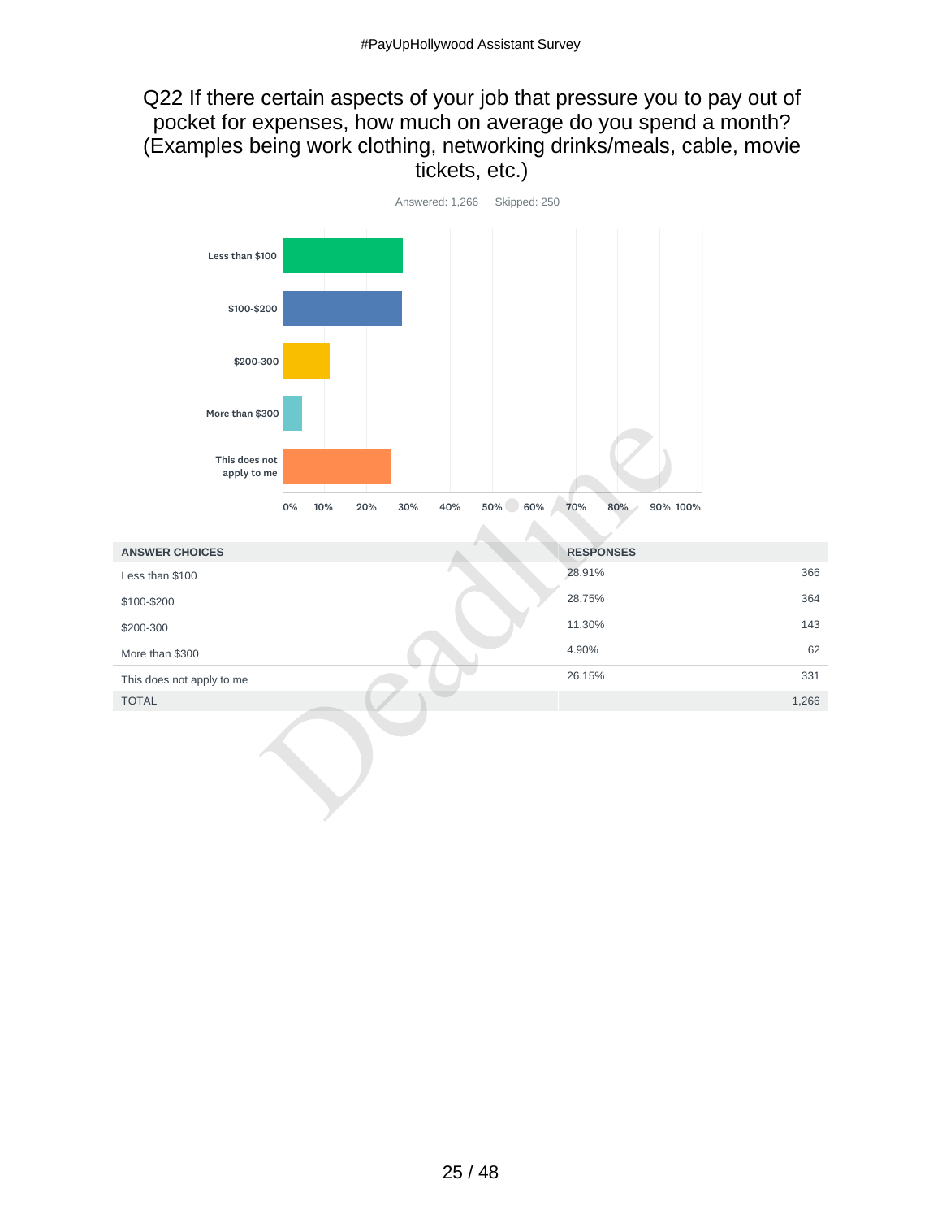#### Q22 If there certain aspects of your job that pressure you to pay out of pocket for expenses, how much on average do you spend a month? (Examples being work clothing, networking drinks/meals, cable, movie tickets, etc.)



| This does not<br>apply to me<br>50% 60%<br>40%<br>$0\%$<br>10%<br>20%<br>30% | 70%<br>80%<br>90% 100% |     |
|------------------------------------------------------------------------------|------------------------|-----|
| <b>ANSWER CHOICES</b>                                                        | <b>RESPONSES</b>       |     |
| Less than \$100                                                              | 28.91%                 | 366 |
| \$100-\$200                                                                  | 28.75%                 | 364 |
| \$200-300                                                                    | 11.30%                 | 143 |
| More than \$300                                                              | 4.90%                  | 62  |
| This does not apply to me                                                    | 26.15%                 | 331 |
| <b>TOTAL</b>                                                                 | 1,266                  |     |
|                                                                              |                        |     |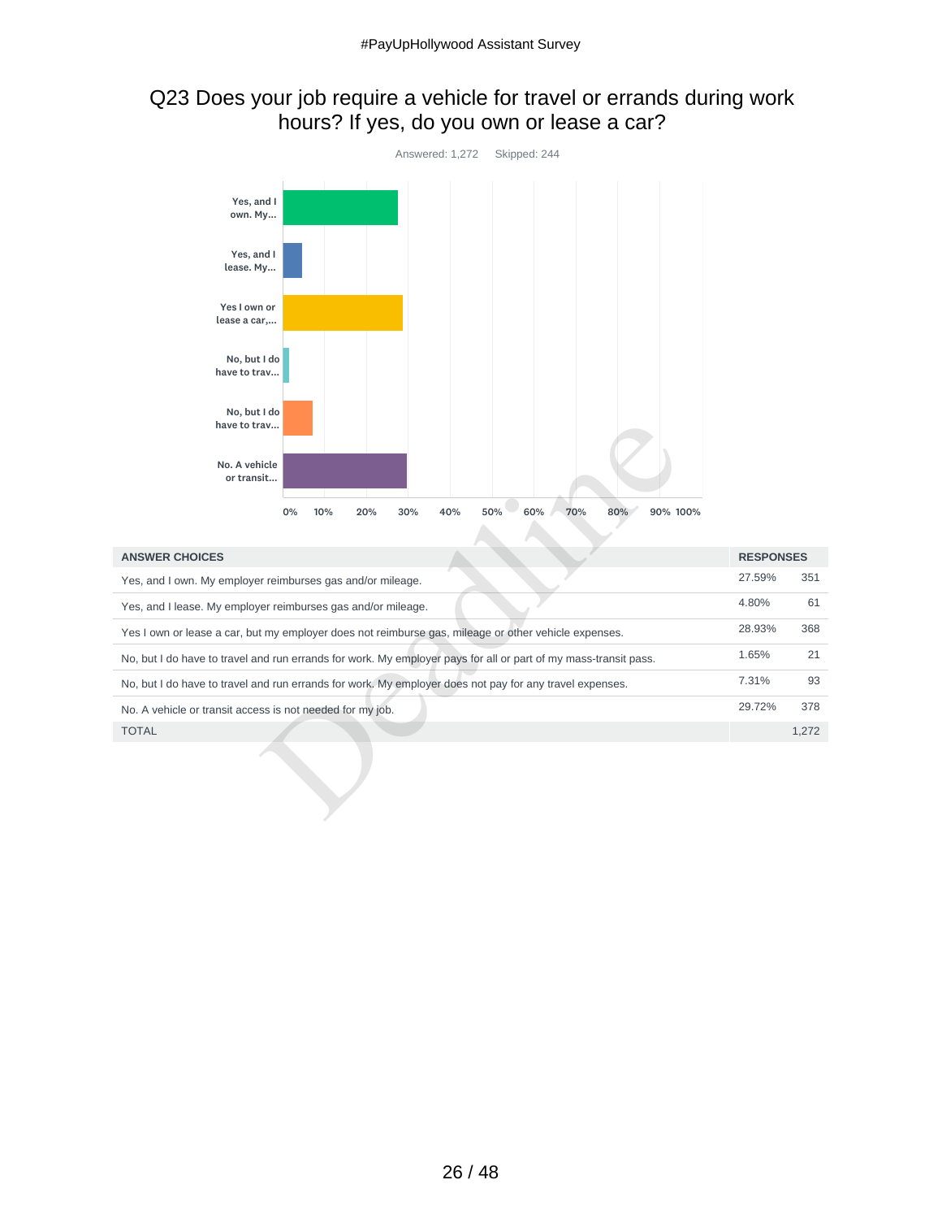## Q23 Does your job require a vehicle for travel or errands during work hours? If yes, do you own or lease a car?



| have to trav                                               |                                                                                                                 |                  |       |
|------------------------------------------------------------|-----------------------------------------------------------------------------------------------------------------|------------------|-------|
| No. A vehicle<br>or transit                                |                                                                                                                 |                  |       |
|                                                            | 50%<br>60%<br>70%<br>80%<br>90% 100%<br>0%<br>10%<br>20%<br>30%<br>40%                                          |                  |       |
| <b>ANSWER CHOICES</b>                                      |                                                                                                                 | <b>RESPONSES</b> |       |
| Yes, and I own. My employer reimburses gas and/or mileage. |                                                                                                                 | 27.59%           | 351   |
|                                                            | Yes, and I lease. My employer reimburses gas and/or mileage.                                                    | 4.80%            | 61    |
|                                                            | Yes I own or lease a car, but my employer does not reimburse gas, mileage or other vehicle expenses.            | 28.93%           | 368   |
|                                                            | No, but I do have to travel and run errands for work. My employer pays for all or part of my mass-transit pass. | 1.65%            | 21    |
|                                                            | No, but I do have to travel and run errands for work. My employer does not pay for any travel expenses.         | 7.31%            | 93    |
| No. A vehicle or transit access is not needed for my job.  |                                                                                                                 | 29.72%           | 378   |
| <b>TOTAL</b>                                               |                                                                                                                 |                  | 1,272 |
|                                                            |                                                                                                                 |                  |       |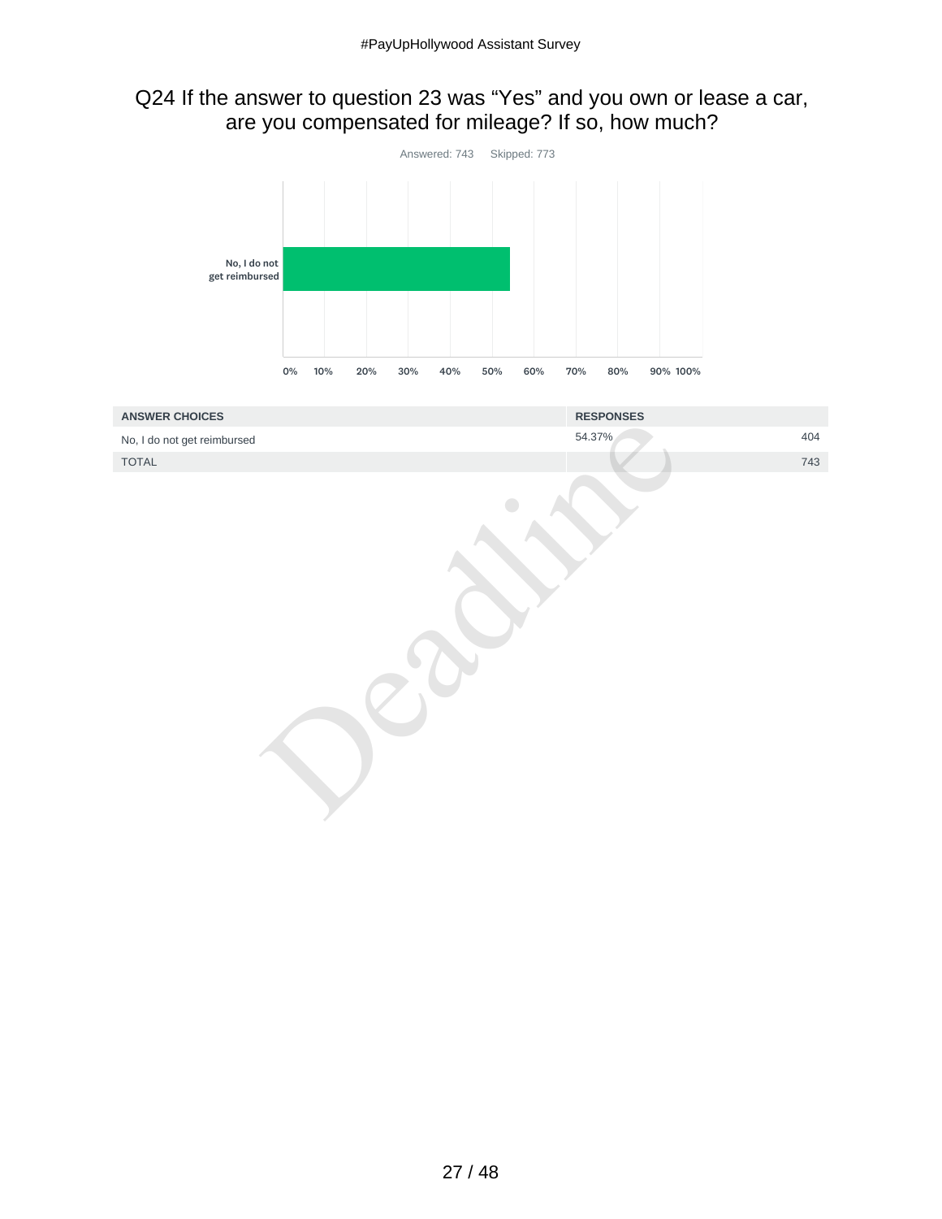## Q24 If the answer to question 23 was "Yes" and you own or lease a car, are you compensated for mileage? If so, how much?

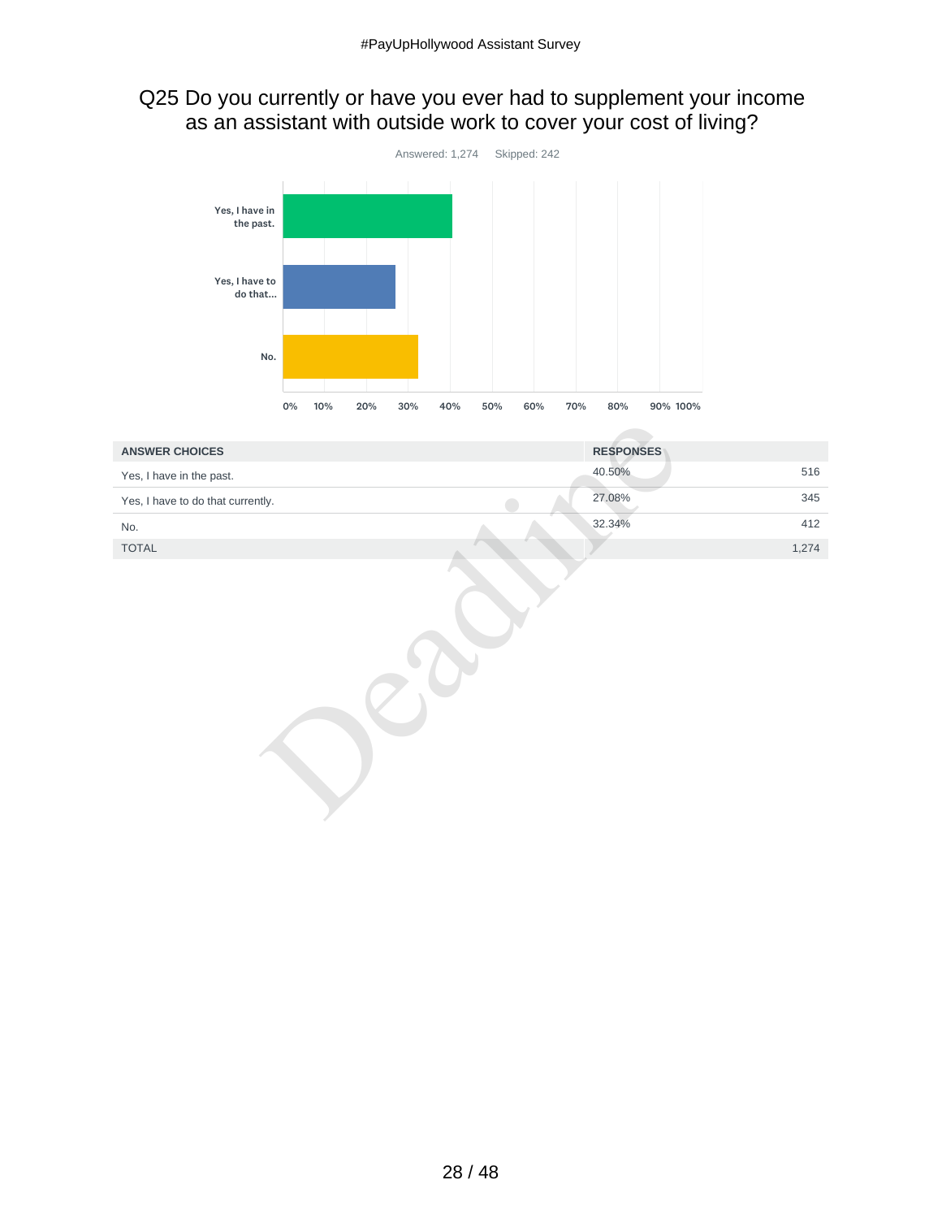## Q25 Do you currently or have you ever had to supplement your income as an assistant with outside work to cover your cost of living?



| <b>ANSWER CHOICES</b>             | <b>RESPONSES</b> |       |
|-----------------------------------|------------------|-------|
| Yes, I have in the past.          | 40.50%           | 516   |
| Yes, I have to do that currently. | 27.08%           | 345   |
| No.                               | 32.34%           | 412   |
| <b>TOTAL</b>                      |                  | 1,274 |
|                                   |                  |       |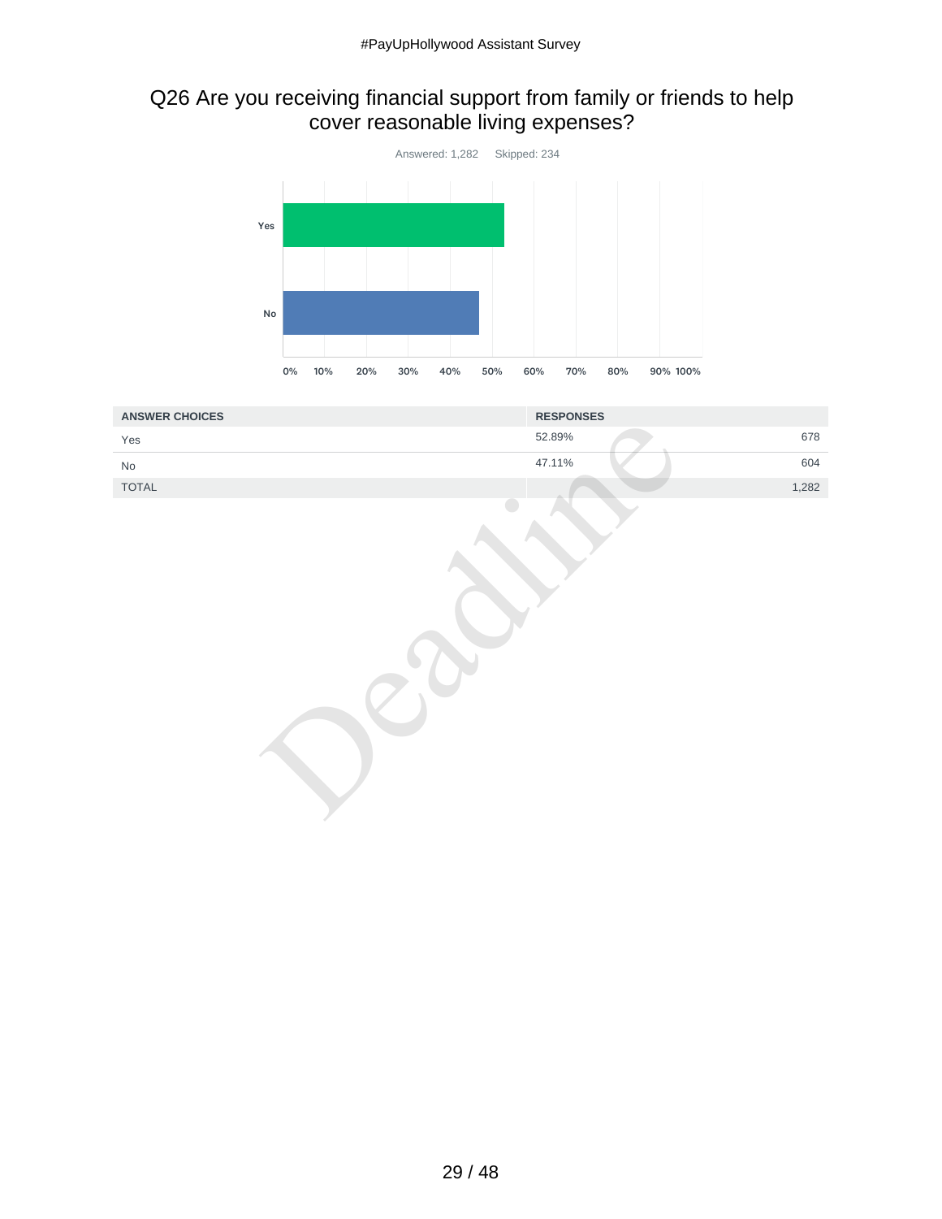## Q26 Are you receiving financial support from family or friends to help cover reasonable living expenses?



| <b>ANSWER CHOICES</b>         | <b>RESPONSES</b> |
|-------------------------------|------------------|
| Yes                           | 678<br>52.89%    |
| $\operatorname{\mathsf{No}}$  | 47.11%<br>604    |
| $\ensuremath{\mathsf{TOTAL}}$ | 1,282            |
|                               |                  |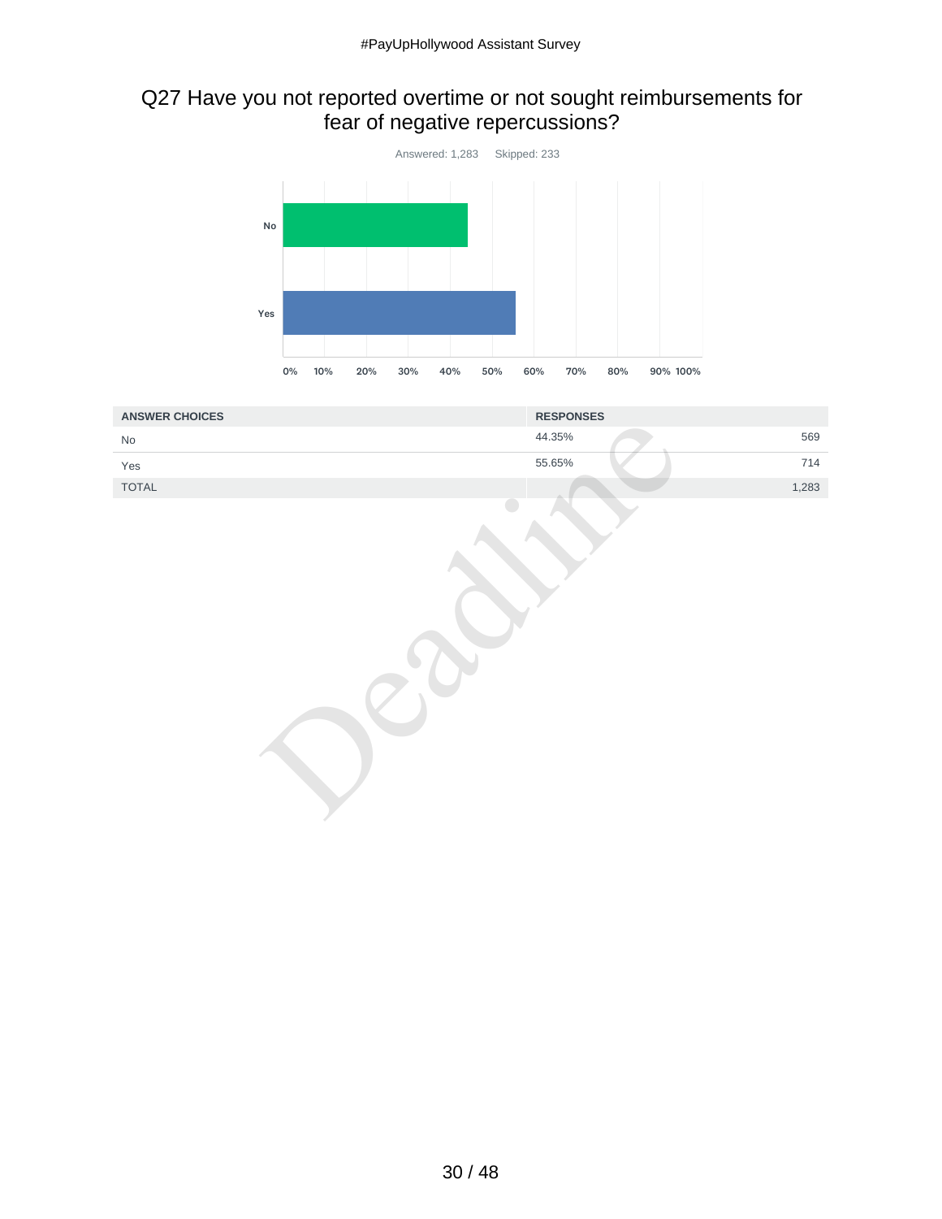#### Q27 Have you not reported overtime or not sought reimbursements for fear of negative repercussions?



| <b>ANSWER CHOICES</b>         | <b>RESPONSES</b> |
|-------------------------------|------------------|
| No                            | 569<br>44.35%    |
| Yes                           | 55.65%<br>714    |
| $\ensuremath{\mathsf{TOTAL}}$ | 1,283            |
|                               |                  |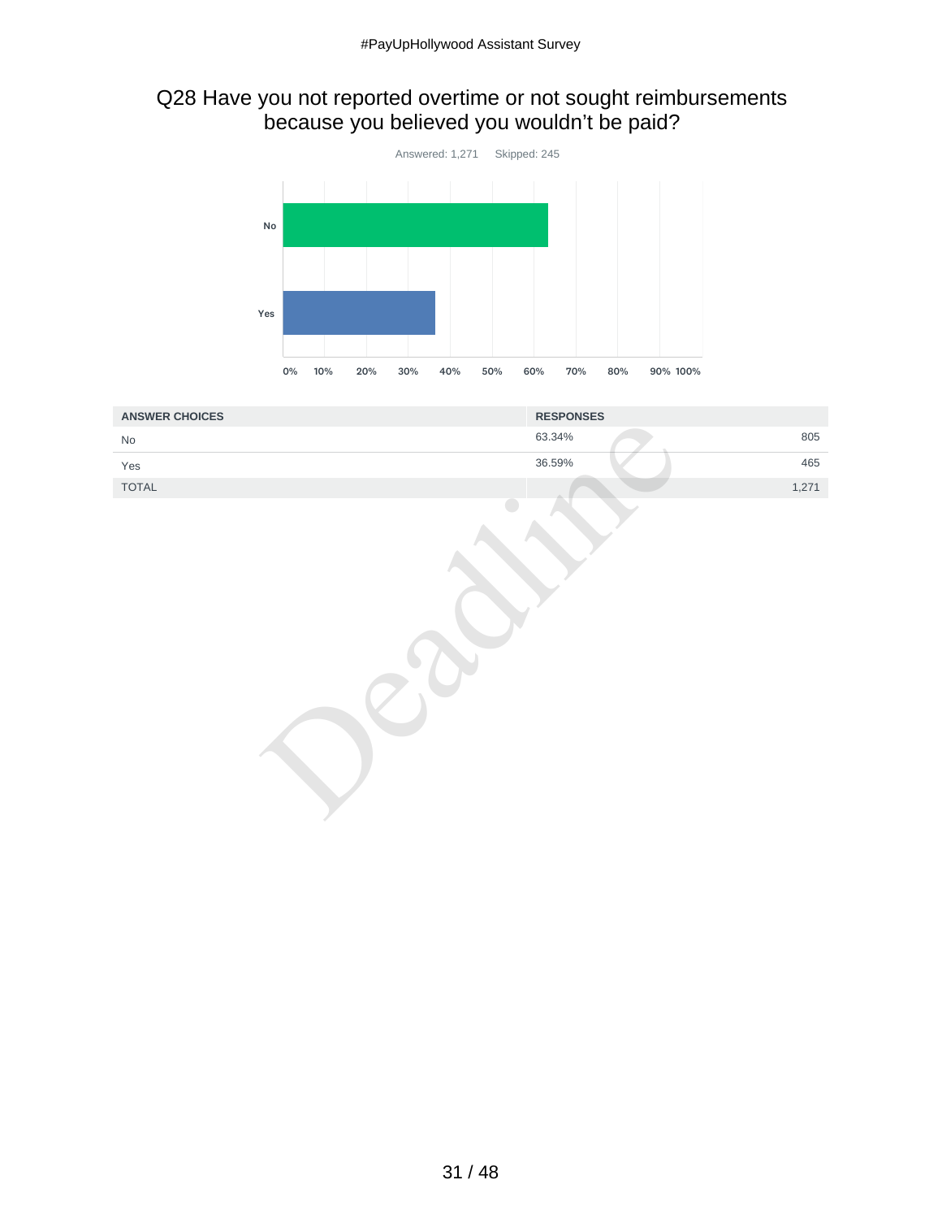#### Q28 Have you not reported overtime or not sought reimbursements because you believed you wouldn't be paid?



| <b>ANSWER CHOICES</b> | <b>RESPONSES</b> |
|-----------------------|------------------|
| $\rm No$              | 805<br>63.34%    |
| Yes                   | 36.59%<br>465    |
| TOTAL                 | 1,271            |
|                       |                  |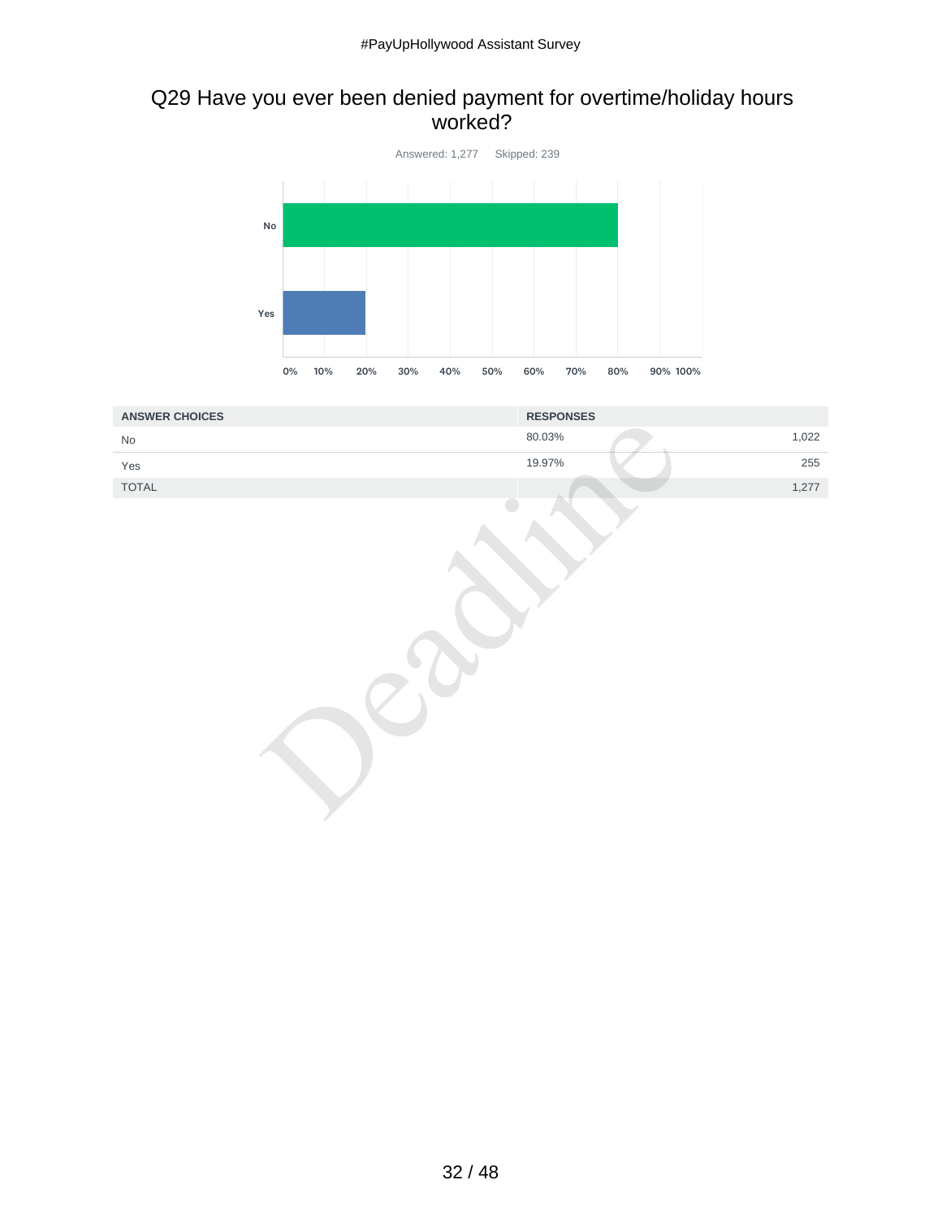#### Q29 Have you ever been denied payment for overtime/holiday hours worked?



| <b>ANSWER CHOICES</b> | <b>RESPONSES</b> |
|-----------------------|------------------|
| $\rm No$              | 1,022<br>80.03%  |
| Yes                   | 19.97%<br>255    |
| TOTAL                 | 1,277            |
|                       |                  |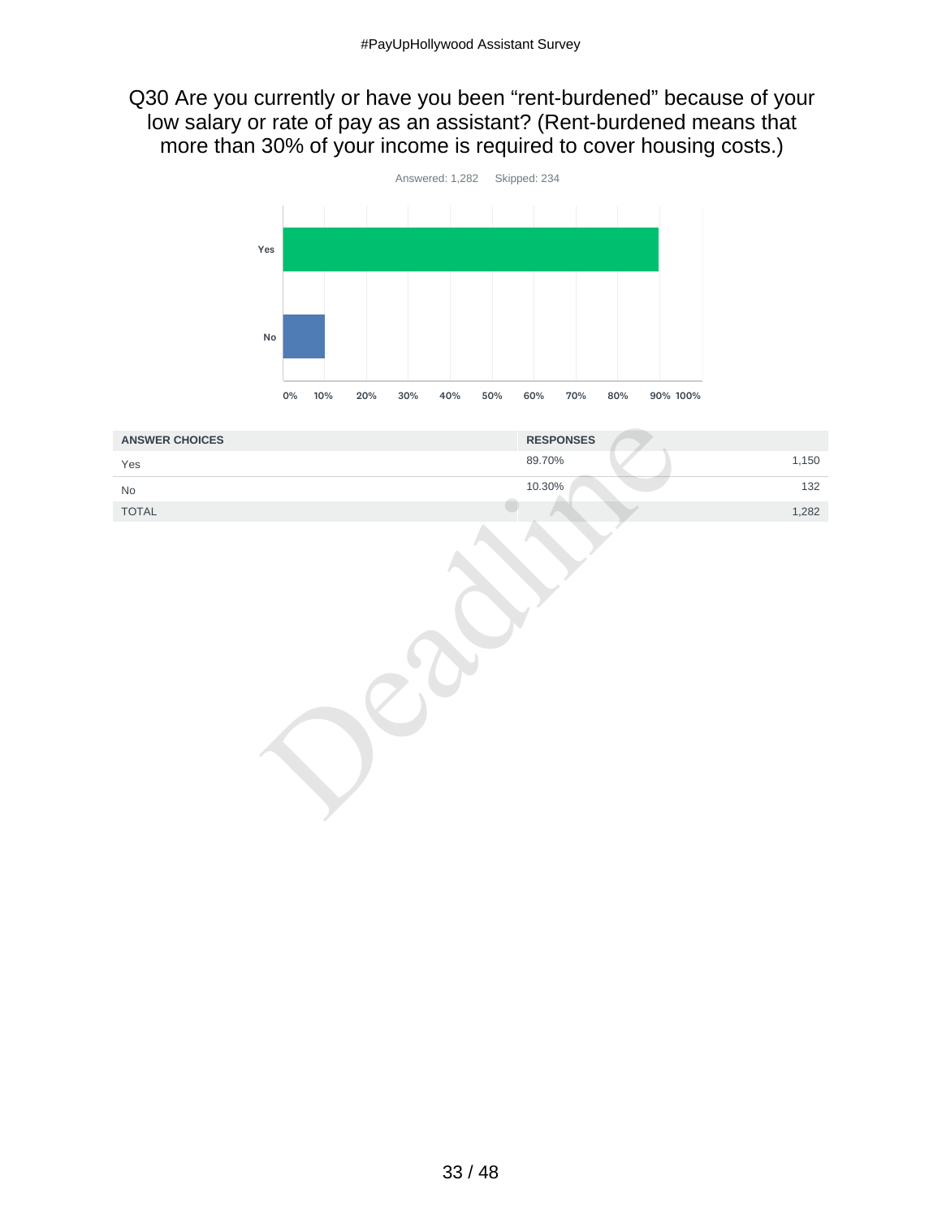#### Q30 Are you currently or have you been "rent-burdened" because of your low salary or rate of pay as an assistant? (Rent-burdened means that more than 30% of your income is required to cover housing costs.)



| <b>ANSWER CHOICES</b>        | <b>RESPONSES</b> |
|------------------------------|------------------|
| Yes                          | 1,150<br>89.70%  |
| $\operatorname{\mathsf{No}}$ | 10.30%<br>132    |
| TOTAL                        | 1,282            |
|                              |                  |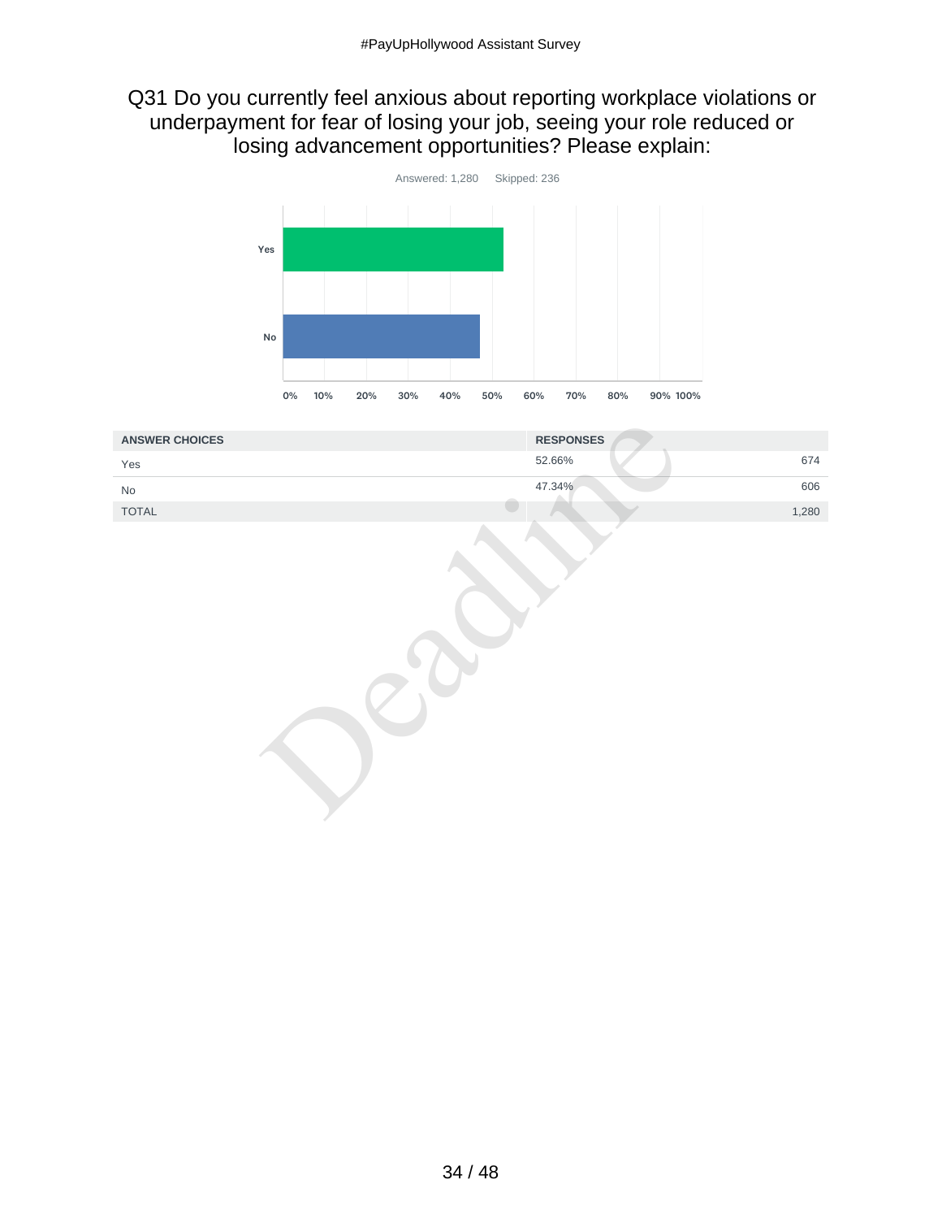#### Q31 Do you currently feel anxious about reporting workplace violations or underpayment for fear of losing your job, seeing your role reduced or losing advancement opportunities? Please explain:



| <b>ANSWER CHOICES</b>        | <b>RESPONSES</b> |
|------------------------------|------------------|
| Yes                          | 674<br>52.66%    |
| $\operatorname{\mathsf{No}}$ | 47.34%<br>606    |
| TOTAL                        | 1,280            |
|                              |                  |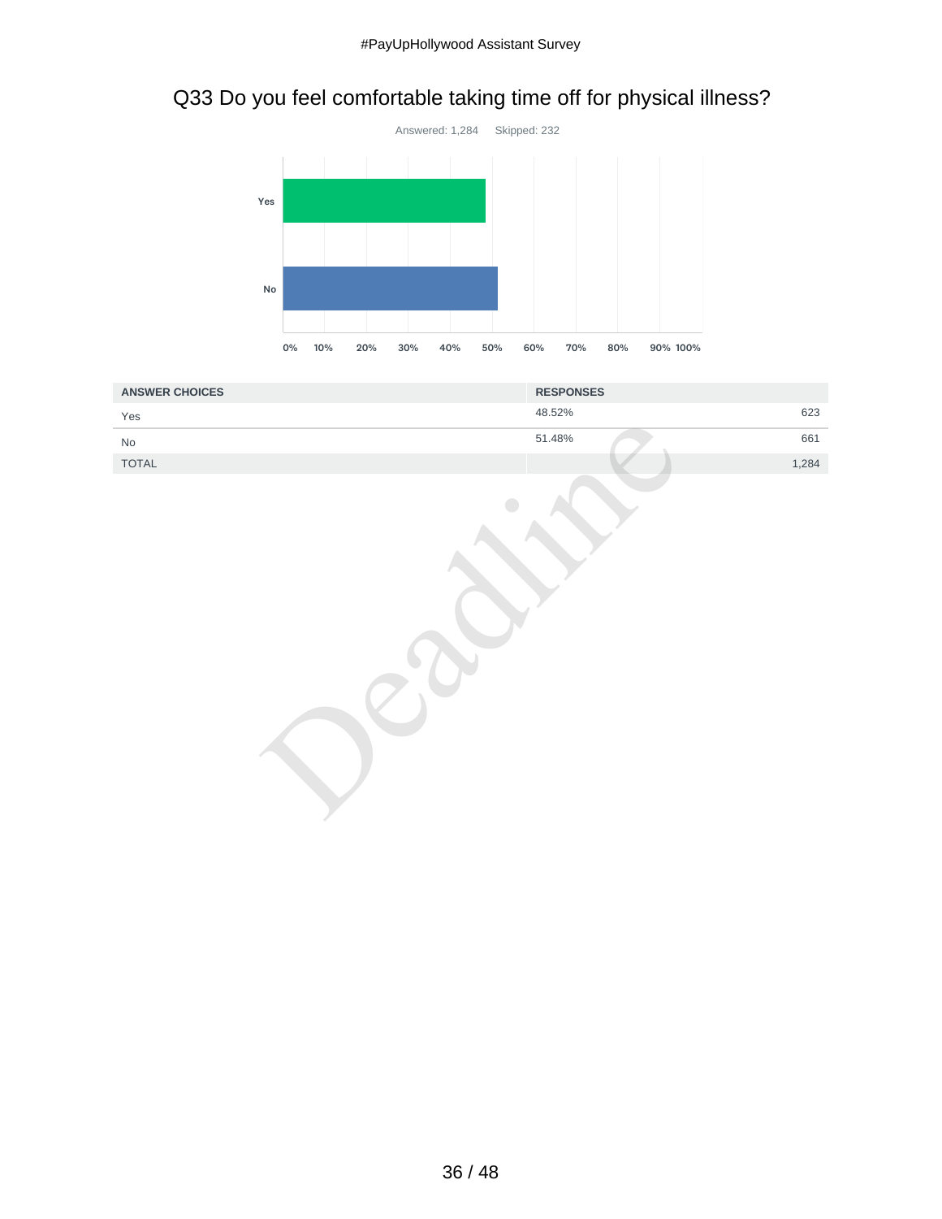# Q33 Do you feel comfortable taking time off for physical illness?



| <b>ANSWER CHOICES</b>        | <b>RESPONSES</b> |
|------------------------------|------------------|
| Yes                          | 623<br>48.52%    |
| $\operatorname{\mathsf{No}}$ | 51.48%<br>661    |
| TOTAL                        | 1,284            |
|                              |                  |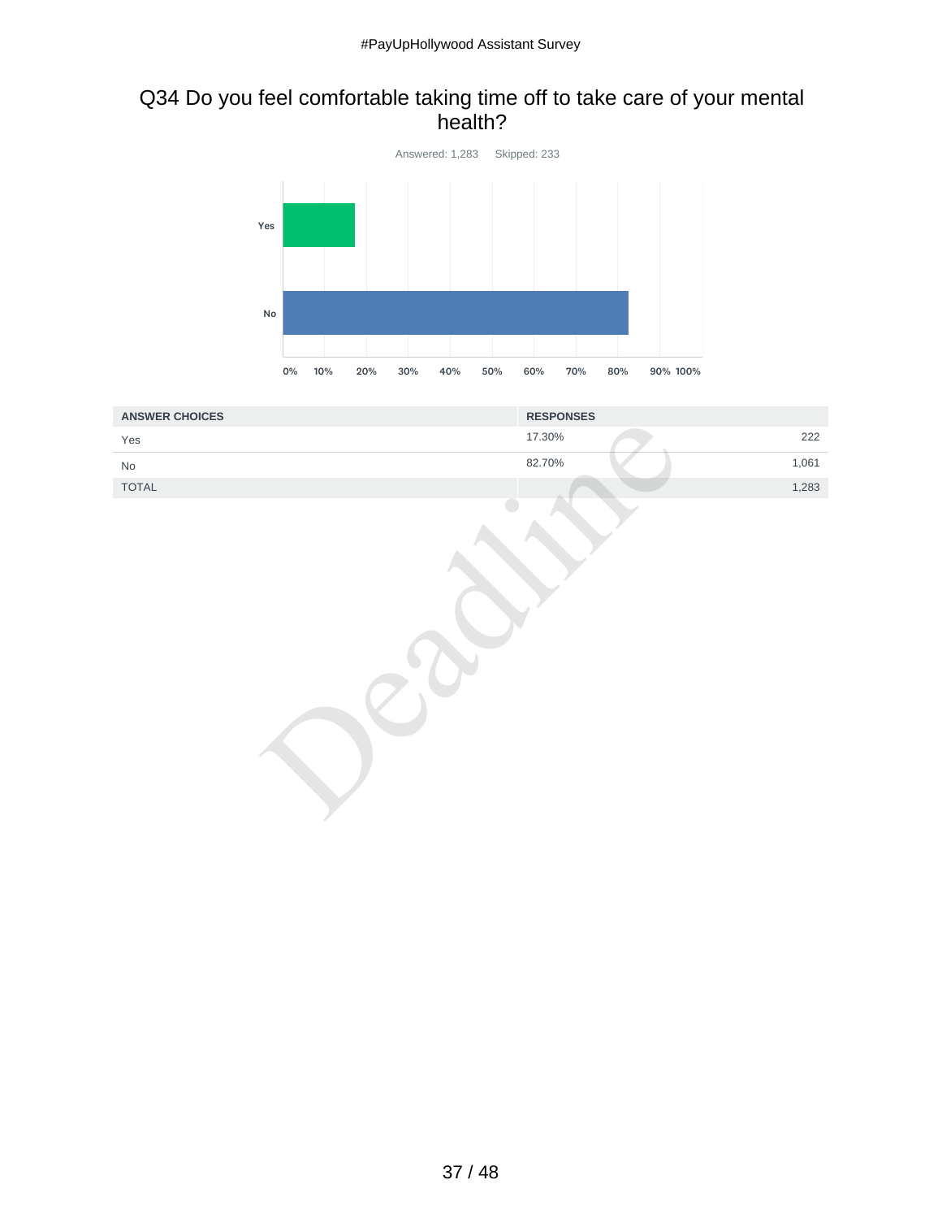#### Q34 Do you feel comfortable taking time off to take care of your mental health?



| <b>ANSWER CHOICES</b> | <b>RESPONSES</b> |
|-----------------------|------------------|
| Yes                   | 222<br>17.30%    |
| $\mathsf{No}$         | 82.70%<br>1,061  |
| TOTAL                 | 1,283            |
|                       |                  |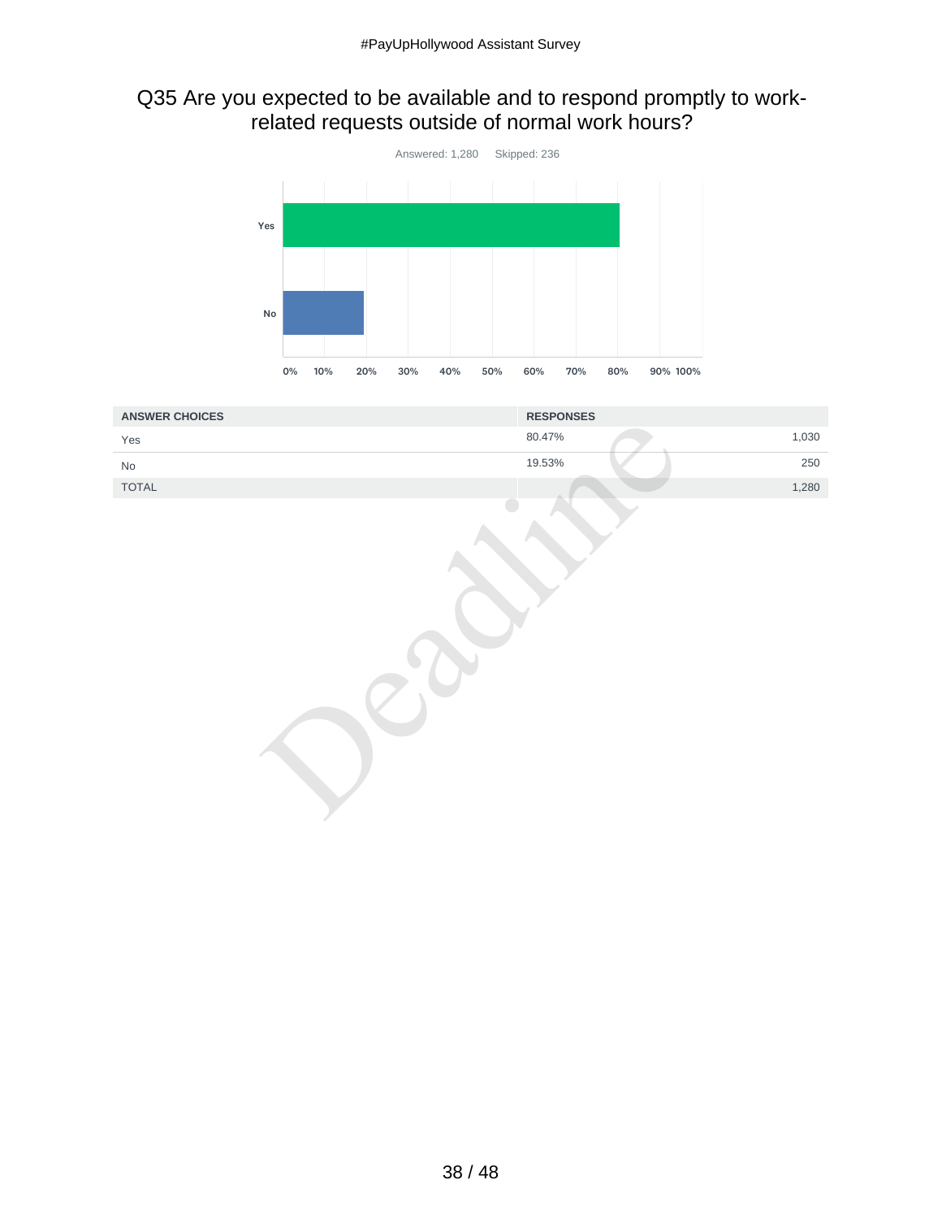#### Q35 Are you expected to be available and to respond promptly to workrelated requests outside of normal work hours?



| <b>ANSWER CHOICES</b>         | <b>RESPONSES</b> |
|-------------------------------|------------------|
| Yes                           | 1,030<br>80.47%  |
| No                            | 19.53%<br>250    |
| $\ensuremath{\mathsf{TOTAL}}$ | 1,280            |
|                               |                  |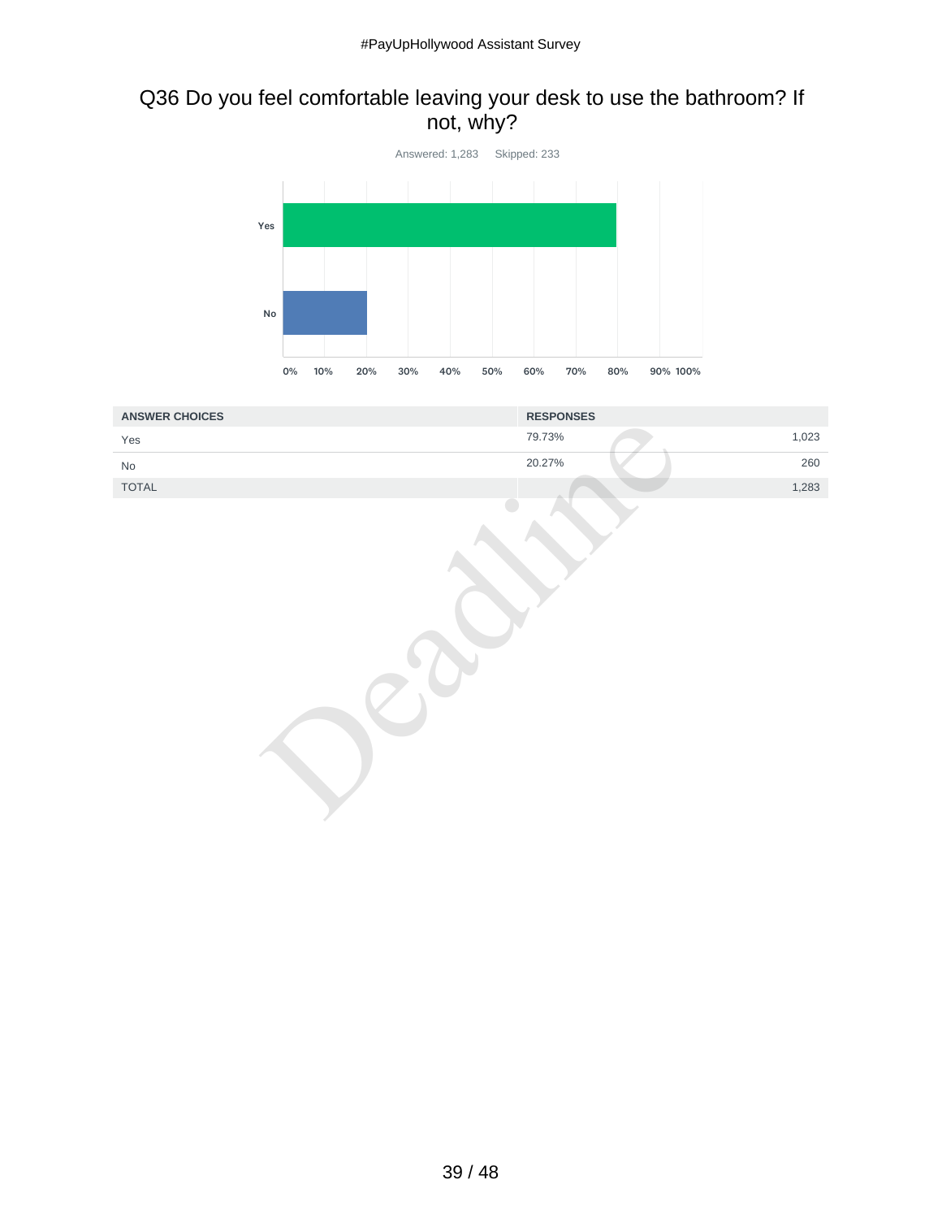## Q36 Do you feel comfortable leaving your desk to use the bathroom? If not, why?



| <b>ANSWER CHOICES</b> | <b>RESPONSES</b> |
|-----------------------|------------------|
| Yes                   | 1,023<br>79.73%  |
| $\mathsf{No}$         | 20.27%<br>260    |
| TOTAL                 | 1,283            |
|                       |                  |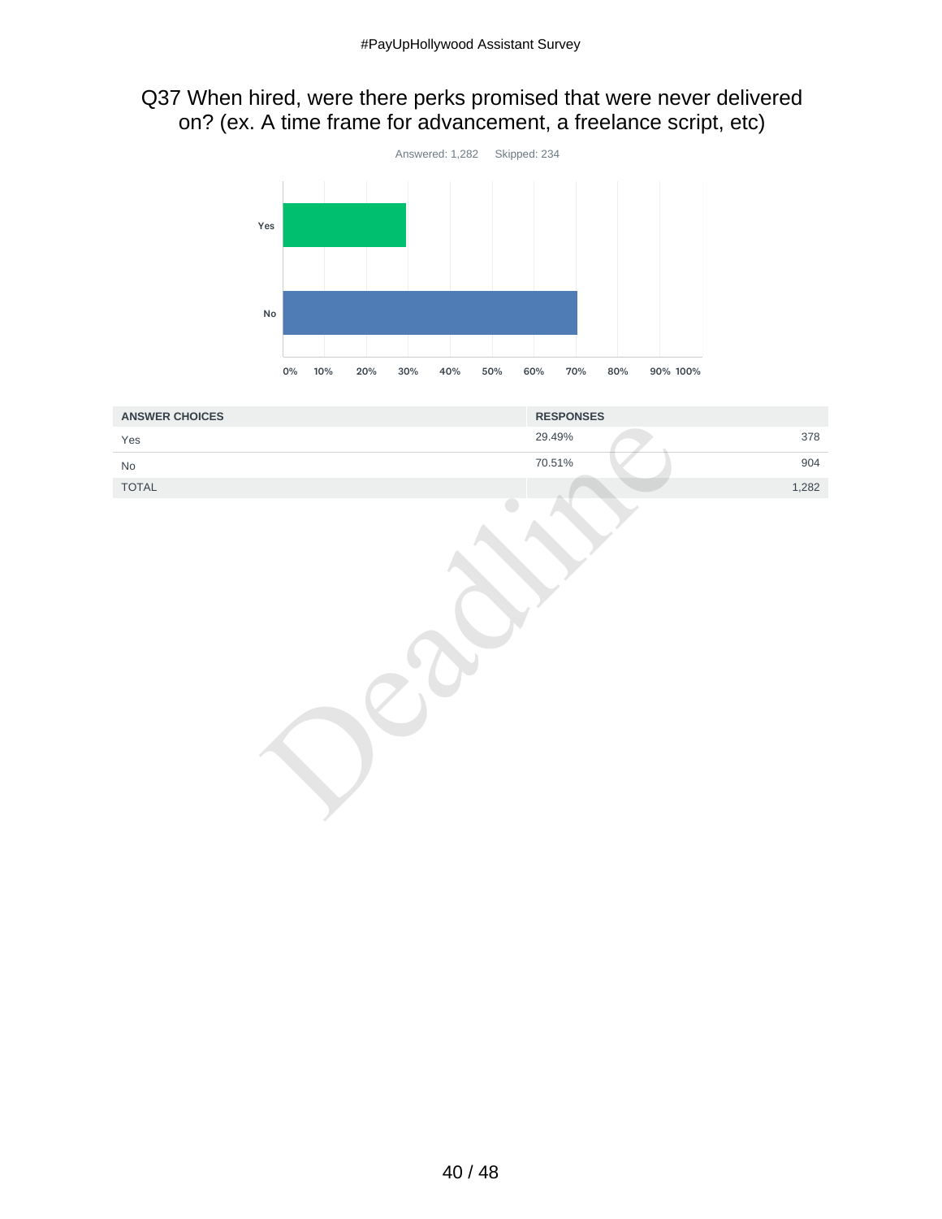## Q37 When hired, were there perks promised that were never delivered on? (ex. A time frame for advancement, a freelance script, etc)



| <b>ANSWER CHOICES</b>         | <b>RESPONSES</b> |
|-------------------------------|------------------|
| Yes                           | 378<br>29.49%    |
| $\operatorname{\mathsf{No}}$  | 70.51%<br>904    |
| $\ensuremath{\mathsf{TOTAL}}$ | 1,282            |
|                               |                  |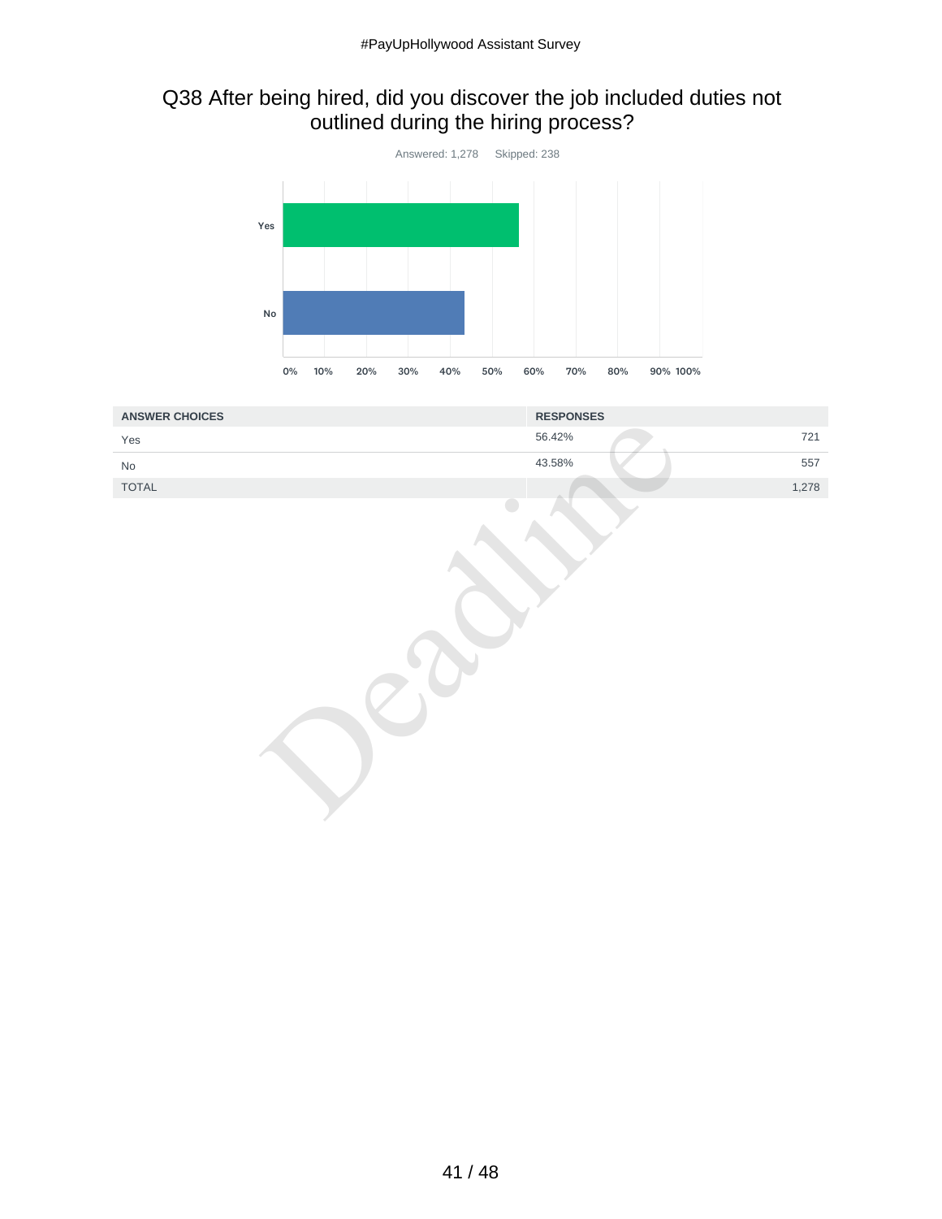## Q38 After being hired, did you discover the job included duties not outlined during the hiring process?



| <b>ANSWER CHOICES</b> | <b>RESPONSES</b> |
|-----------------------|------------------|
| Yes                   | 721<br>56.42%    |
| $\mathsf{No}$         | 43.58%<br>557    |
| TOTAL                 | 1,278            |
|                       |                  |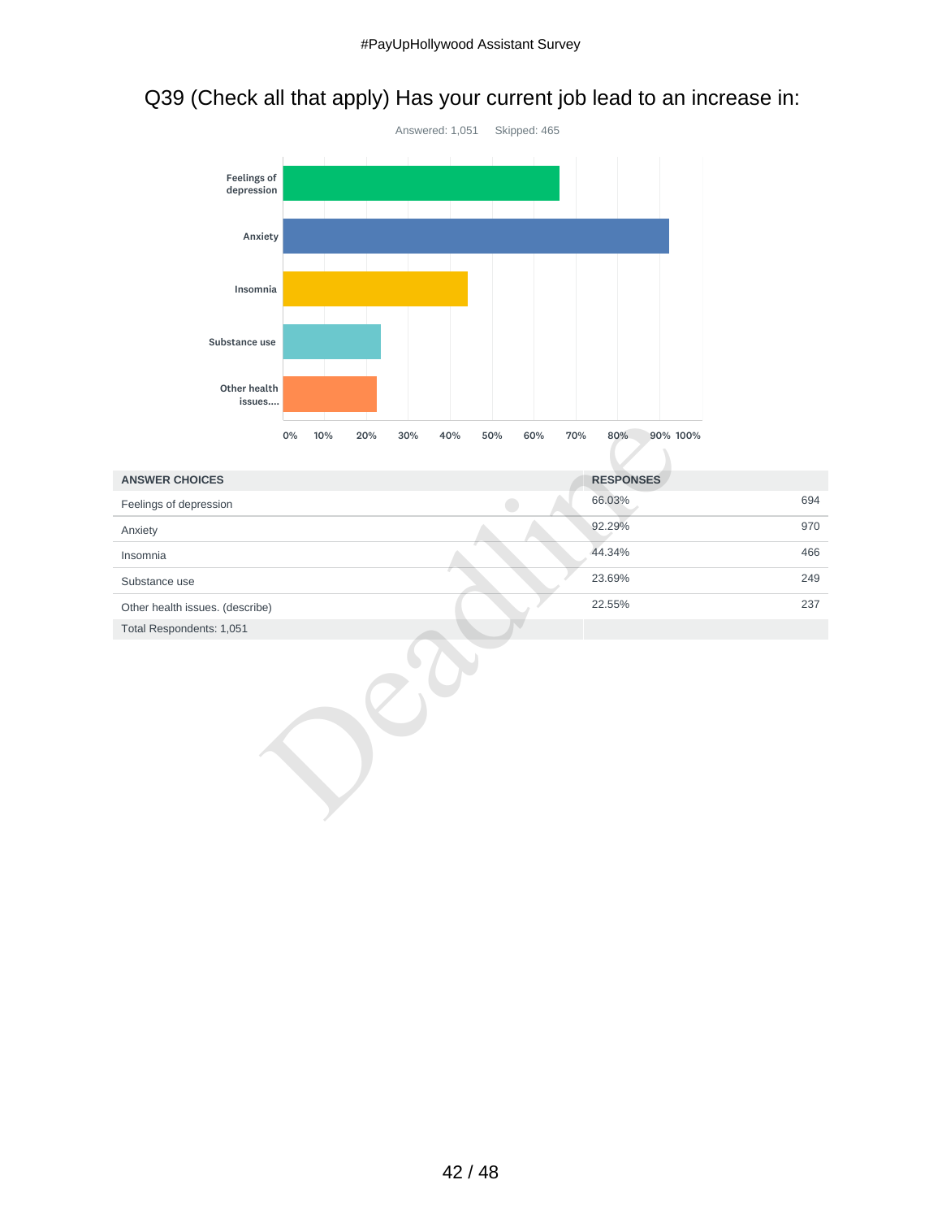# Q39 (Check all that apply) Has your current job lead to an increase in:



|                                 | 0% | 10% | 20% | 30% | 40% | 50% | 60%                      | 70% | 80%<br>90% 100%  |     |
|---------------------------------|----|-----|-----|-----|-----|-----|--------------------------|-----|------------------|-----|
| <b>ANSWER CHOICES</b>           |    |     |     |     |     |     |                          |     | <b>RESPONSES</b> |     |
| Feelings of depression          |    |     |     |     |     |     | $\overline{\phantom{a}}$ |     | 66.03%           | 694 |
| Anxiety                         |    |     |     |     |     |     |                          |     | 92.29%           | 970 |
| Insomnia                        |    |     |     |     |     |     |                          |     | 44.34%           | 466 |
| Substance use                   |    |     |     |     |     |     |                          |     | 23.69%           | 249 |
| Other health issues. (describe) |    |     |     |     |     |     |                          |     | 22.55%           | 237 |
| Total Respondents: 1,051        |    |     |     |     |     |     |                          |     |                  |     |
|                                 |    |     |     |     |     |     |                          |     |                  |     |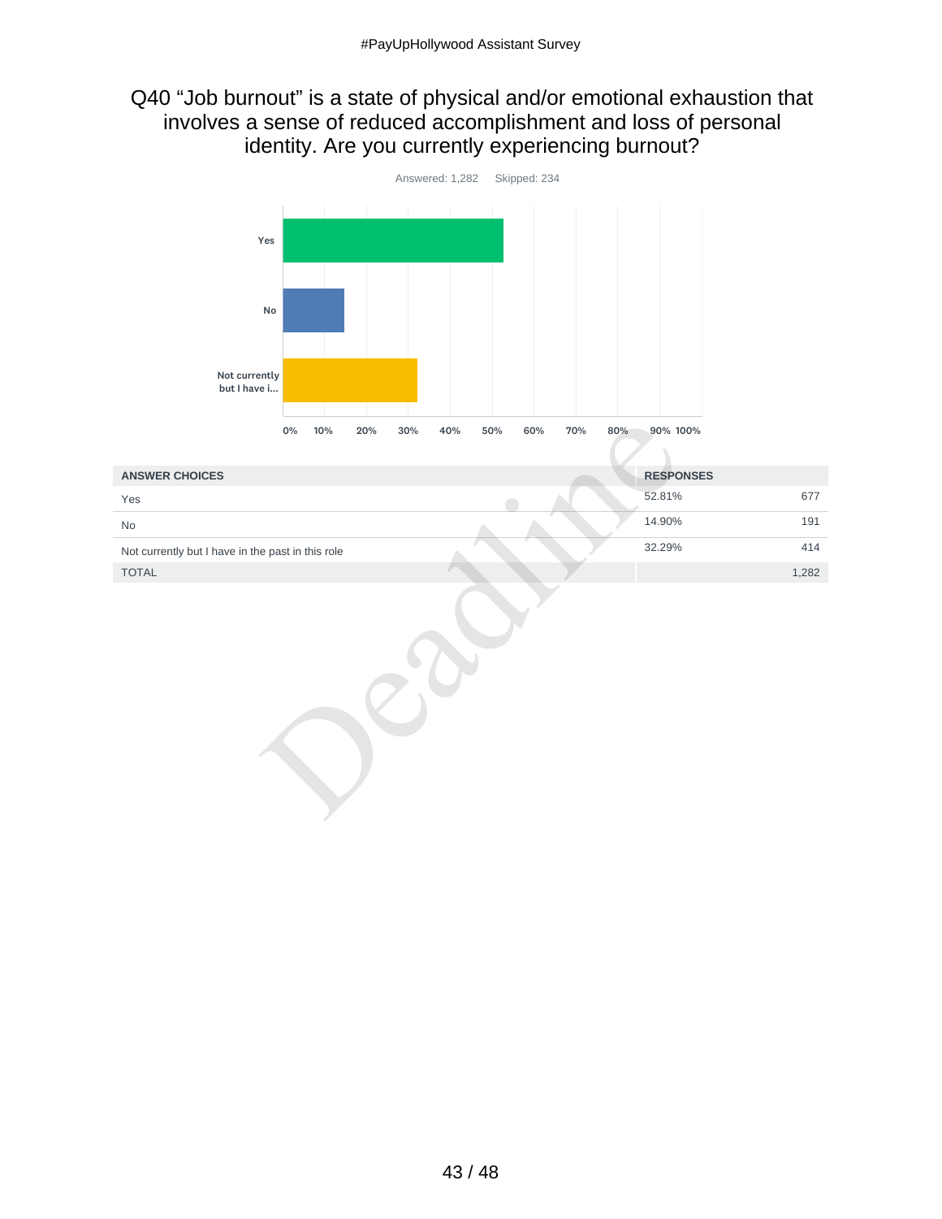#### Q40 "Job burnout" is a state of physical and/or emotional exhaustion that involves a sense of reduced accomplishment and loss of personal identity. Are you currently experiencing burnout?



|                                                   | 0% | 10% | 20% | 30% | 40% | 50% | 60% | 70% | 80% | 90% 100%         |       |
|---------------------------------------------------|----|-----|-----|-----|-----|-----|-----|-----|-----|------------------|-------|
| <b>ANSWER CHOICES</b>                             |    |     |     |     |     |     |     |     |     | <b>RESPONSES</b> |       |
| Yes                                               |    |     |     |     |     |     |     |     |     | 52.81%           | 677   |
| No                                                |    |     |     |     |     |     |     |     |     | 14.90%           | 191   |
| Not currently but I have in the past in this role |    |     |     |     |     |     |     |     |     | 32.29%           | 414   |
| TOTAL                                             |    |     |     |     |     |     |     |     |     |                  | 1,282 |
|                                                   |    |     |     |     |     |     |     |     |     |                  |       |

43 / 48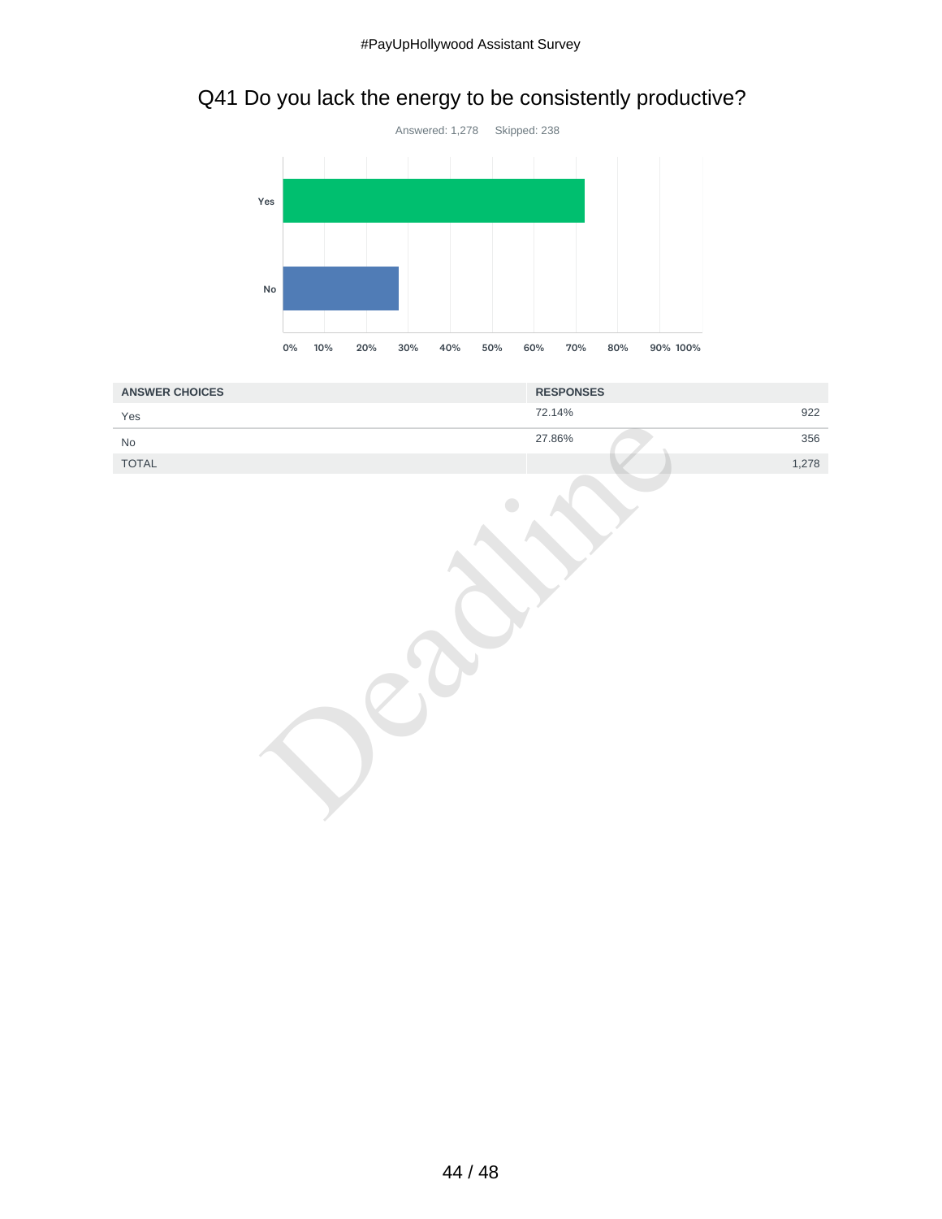# Q41 Do you lack the energy to be consistently productive?



| <b>ANSWER CHOICES</b>        | <b>RESPONSES</b> |
|------------------------------|------------------|
| Yes                          | 922<br>72.14%    |
| $\operatorname{\mathsf{No}}$ | 27.86%<br>356    |
| TOTAL                        | 1,278            |
|                              |                  |

44 / 48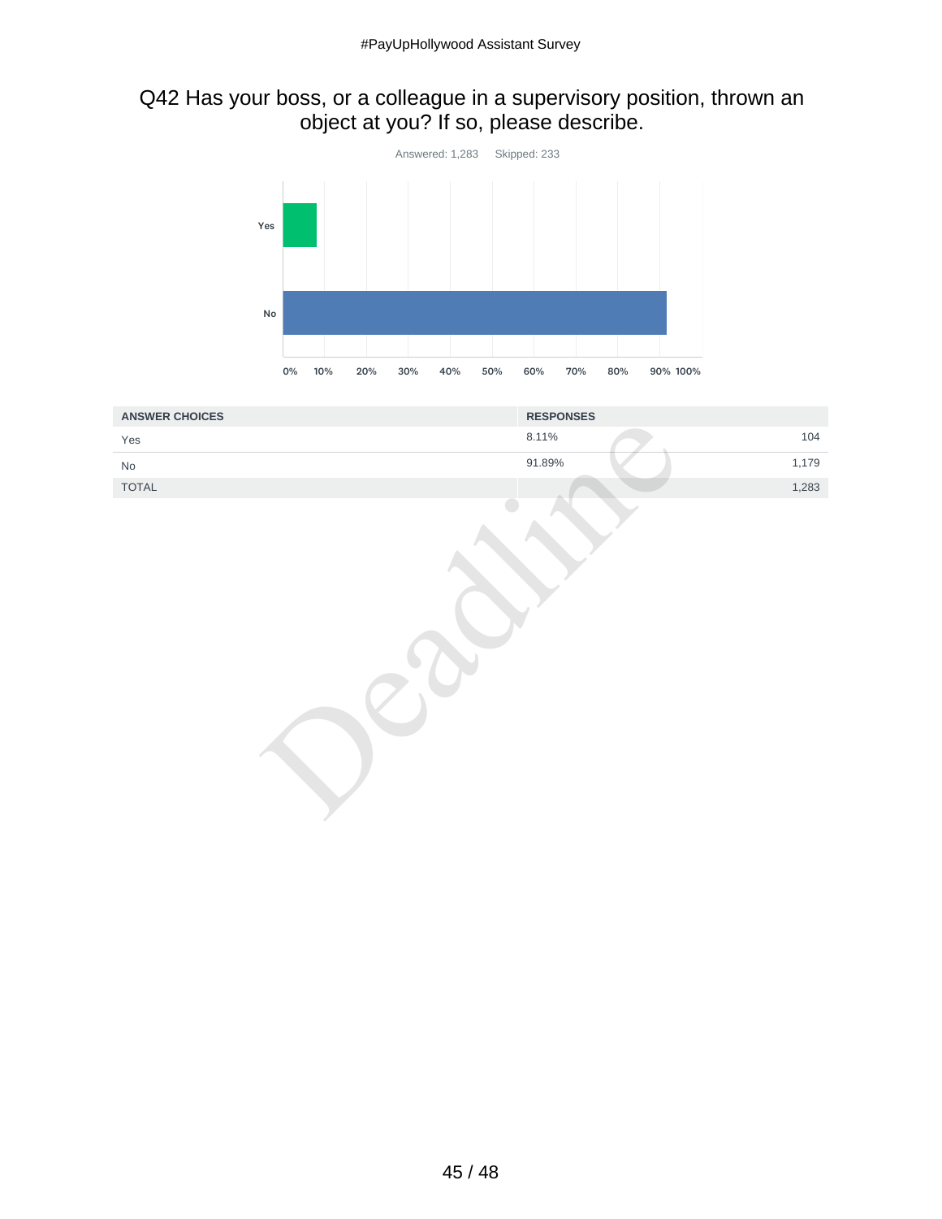## Q42 Has your boss, or a colleague in a supervisory position, thrown an object at you? If so, please describe.